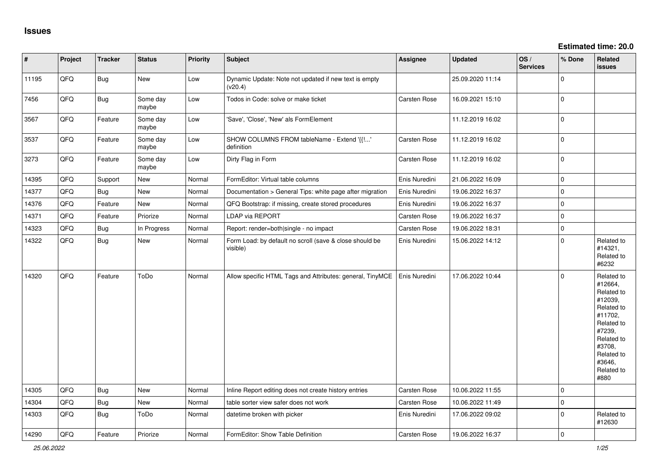| $\vert$ # | Project | <b>Tracker</b> | <b>Status</b>     | <b>Priority</b> | <b>Subject</b>                                                      | Assignee            | <b>Updated</b>   | OS/<br><b>Services</b> | % Done              | Related<br>issues                                                                                                                                                     |
|-----------|---------|----------------|-------------------|-----------------|---------------------------------------------------------------------|---------------------|------------------|------------------------|---------------------|-----------------------------------------------------------------------------------------------------------------------------------------------------------------------|
| 11195     | QFQ     | <b>Bug</b>     | New               | Low             | Dynamic Update: Note not updated if new text is empty<br>(v20.4)    |                     | 25.09.2020 11:14 |                        | 0                   |                                                                                                                                                                       |
| 7456      | QFQ     | <b>Bug</b>     | Some day<br>maybe | Low             | Todos in Code: solve or make ticket                                 | Carsten Rose        | 16.09.2021 15:10 |                        | $\mathbf 0$         |                                                                                                                                                                       |
| 3567      | QFQ     | Feature        | Some day<br>maybe | Low             | 'Save', 'Close', 'New' als FormElement                              |                     | 11.12.2019 16:02 |                        | $\mathbf 0$         |                                                                                                                                                                       |
| 3537      | QFQ     | Feature        | Some day<br>maybe | Low             | SHOW COLUMNS FROM tableName - Extend '{{!'<br>definition            | <b>Carsten Rose</b> | 11.12.2019 16:02 |                        | $\mathbf 0$         |                                                                                                                                                                       |
| 3273      | QFQ     | Feature        | Some day<br>maybe | Low             | Dirty Flag in Form                                                  | Carsten Rose        | 11.12.2019 16:02 |                        | $\mathbf{0}$        |                                                                                                                                                                       |
| 14395     | QFQ     | Support        | New               | Normal          | FormEditor: Virtual table columns                                   | Enis Nuredini       | 21.06.2022 16:09 |                        | $\mathsf{O}\xspace$ |                                                                                                                                                                       |
| 14377     | QFQ     | Bug            | New               | Normal          | Documentation > General Tips: white page after migration            | Enis Nuredini       | 19.06.2022 16:37 |                        | $\mathsf{O}\xspace$ |                                                                                                                                                                       |
| 14376     | QFQ     | Feature        | New               | Normal          | QFQ Bootstrap: if missing, create stored procedures                 | Enis Nuredini       | 19.06.2022 16:37 |                        | $\mathbf 0$         |                                                                                                                                                                       |
| 14371     | QFQ     | Feature        | Priorize          | Normal          | LDAP via REPORT                                                     | <b>Carsten Rose</b> | 19.06.2022 16:37 |                        | $\mathbf{0}$        |                                                                                                                                                                       |
| 14323     | QFQ     | Bug            | In Progress       | Normal          | Report: render=both single - no impact                              | Carsten Rose        | 19.06.2022 18:31 |                        | $\mathbf 0$         |                                                                                                                                                                       |
| 14322     | QFQ     | Bug            | New               | Normal          | Form Load: by default no scroll (save & close should be<br>visible) | Enis Nuredini       | 15.06.2022 14:12 |                        | $\mathbf 0$         | Related to<br>#14321,<br>Related to<br>#6232                                                                                                                          |
| 14320     | QFQ     | Feature        | ToDo              | Normal          | Allow specific HTML Tags and Attributes: general, TinyMCE           | Enis Nuredini       | 17.06.2022 10:44 |                        | $\mathbf 0$         | Related to<br>#12664,<br>Related to<br>#12039,<br>Related to<br>#11702,<br>Related to<br>#7239,<br>Related to<br>#3708,<br>Related to<br>#3646,<br>Related to<br>#880 |
| 14305     | QFQ     | Bug            | New               | Normal          | Inline Report editing does not create history entries               | <b>Carsten Rose</b> | 10.06.2022 11:55 |                        | $\mathbf{0}$        |                                                                                                                                                                       |
| 14304     | QFQ     | Bug            | New               | Normal          | table sorter view safer does not work                               | Carsten Rose        | 10.06.2022 11:49 |                        | $\mathsf{O}\xspace$ |                                                                                                                                                                       |
| 14303     | QFQ     | Bug            | ToDo              | Normal          | datetime broken with picker                                         | Enis Nuredini       | 17.06.2022 09:02 |                        | 0                   | Related to<br>#12630                                                                                                                                                  |
| 14290     | QFQ     | Feature        | Priorize          | Normal          | FormEditor: Show Table Definition                                   | <b>Carsten Rose</b> | 19.06.2022 16:37 |                        | $\mathbf 0$         |                                                                                                                                                                       |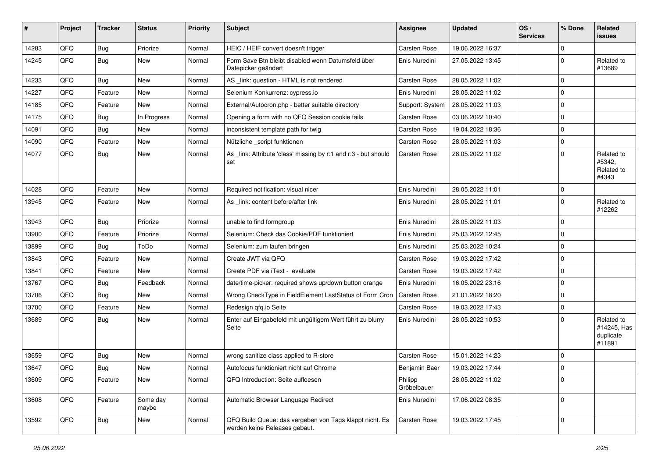| #     | Project | <b>Tracker</b> | <b>Status</b>     | <b>Priority</b> | <b>Subject</b>                                                                           | Assignee               | <b>Updated</b>   | OS/<br><b>Services</b> | % Done      | Related<br>issues                                |
|-------|---------|----------------|-------------------|-----------------|------------------------------------------------------------------------------------------|------------------------|------------------|------------------------|-------------|--------------------------------------------------|
| 14283 | QFQ     | Bug            | Priorize          | Normal          | HEIC / HEIF convert doesn't trigger                                                      | Carsten Rose           | 19.06.2022 16:37 |                        | $\Omega$    |                                                  |
| 14245 | QFQ     | Bug            | New               | Normal          | Form Save Btn bleibt disabled wenn Datumsfeld über<br>Datepicker geändert                | Enis Nuredini          | 27.05.2022 13:45 |                        | $\Omega$    | Related to<br>#13689                             |
| 14233 | QFQ     | Bug            | New               | Normal          | AS _link: question - HTML is not rendered                                                | <b>Carsten Rose</b>    | 28.05.2022 11:02 |                        | 0           |                                                  |
| 14227 | QFQ     | Feature        | New               | Normal          | Selenium Konkurrenz: cypress.io                                                          | Enis Nuredini          | 28.05.2022 11:02 |                        | 0           |                                                  |
| 14185 | QFQ     | Feature        | New               | Normal          | External/Autocron.php - better suitable directory                                        | Support: System        | 28.05.2022 11:03 |                        | $\mathbf 0$ |                                                  |
| 14175 | QFQ     | <b>Bug</b>     | In Progress       | Normal          | Opening a form with no QFQ Session cookie fails                                          | Carsten Rose           | 03.06.2022 10:40 |                        | $\mathbf 0$ |                                                  |
| 14091 | QFQ     | <b>Bug</b>     | New               | Normal          | inconsistent template path for twig                                                      | <b>Carsten Rose</b>    | 19.04.2022 18:36 |                        | $\Omega$    |                                                  |
| 14090 | QFQ     | Feature        | New               | Normal          | Nützliche _script funktionen                                                             | Carsten Rose           | 28.05.2022 11:03 |                        | 0           |                                                  |
| 14077 | QFQ     | Bug            | New               | Normal          | As _link: Attribute 'class' missing by r:1 and r:3 - but should<br>set                   | <b>Carsten Rose</b>    | 28.05.2022 11:02 |                        | $\Omega$    | Related to<br>#5342,<br>Related to<br>#4343      |
| 14028 | QFQ     | Feature        | New               | Normal          | Required notification: visual nicer                                                      | Enis Nuredini          | 28.05.2022 11:01 |                        | 0           |                                                  |
| 13945 | QFQ     | Feature        | New               | Normal          | As _link: content before/after link                                                      | Enis Nuredini          | 28.05.2022 11:01 |                        | $\Omega$    | Related to<br>#12262                             |
| 13943 | QFQ     | Bug            | Priorize          | Normal          | unable to find formgroup                                                                 | Enis Nuredini          | 28.05.2022 11:03 |                        | $\mathbf 0$ |                                                  |
| 13900 | QFQ     | Feature        | Priorize          | Normal          | Selenium: Check das Cookie/PDF funktioniert                                              | Enis Nuredini          | 25.03.2022 12:45 |                        | $\Omega$    |                                                  |
| 13899 | QFQ     | Bug            | ToDo              | Normal          | Selenium: zum laufen bringen                                                             | Enis Nuredini          | 25.03.2022 10:24 |                        | 0           |                                                  |
| 13843 | QFQ     | Feature        | New               | Normal          | Create JWT via QFQ                                                                       | <b>Carsten Rose</b>    | 19.03.2022 17:42 |                        | $\Omega$    |                                                  |
| 13841 | QFQ     | Feature        | New               | Normal          | Create PDF via iText - evaluate                                                          | <b>Carsten Rose</b>    | 19.03.2022 17:42 |                        | 0           |                                                  |
| 13767 | QFQ     | Bug            | Feedback          | Normal          | date/time-picker: required shows up/down button orange                                   | Enis Nuredini          | 16.05.2022 23:16 |                        | $\mathbf 0$ |                                                  |
| 13706 | QFQ     | Bug            | New               | Normal          | Wrong CheckType in FieldElement LastStatus of Form Cron                                  | Carsten Rose           | 21.01.2022 18:20 |                        | $\mathbf 0$ |                                                  |
| 13700 | QFQ     | Feature        | New               | Normal          | Redesign qfq.io Seite                                                                    | <b>Carsten Rose</b>    | 19.03.2022 17:43 |                        | 0           |                                                  |
| 13689 | QFQ     | Bug            | New               | Normal          | Enter auf Eingabefeld mit ungültigem Wert führt zu blurry<br>Seite                       | Enis Nuredini          | 28.05.2022 10:53 |                        | $\Omega$    | Related to<br>#14245, Has<br>duplicate<br>#11891 |
| 13659 | QFQ     | Bug            | New               | Normal          | wrong sanitize class applied to R-store                                                  | <b>Carsten Rose</b>    | 15.01.2022 14:23 |                        | $\Omega$    |                                                  |
| 13647 | QFQ     | <b>Bug</b>     | New               | Normal          | Autofocus funktioniert nicht auf Chrome                                                  | Benjamin Baer          | 19.03.2022 17:44 |                        | 0           |                                                  |
| 13609 | QFQ     | Feature        | New               | Normal          | QFQ Introduction: Seite aufloesen                                                        | Philipp<br>Gröbelbauer | 28.05.2022 11:02 |                        | 0           |                                                  |
| 13608 | QFQ     | Feature        | Some day<br>maybe | Normal          | Automatic Browser Language Redirect                                                      | Enis Nuredini          | 17.06.2022 08:35 |                        | 0           |                                                  |
| 13592 | QFQ     | <b>Bug</b>     | New               | Normal          | QFQ Build Queue: das vergeben von Tags klappt nicht. Es<br>werden keine Releases gebaut. | Carsten Rose           | 19.03.2022 17:45 |                        | $\mathbf 0$ |                                                  |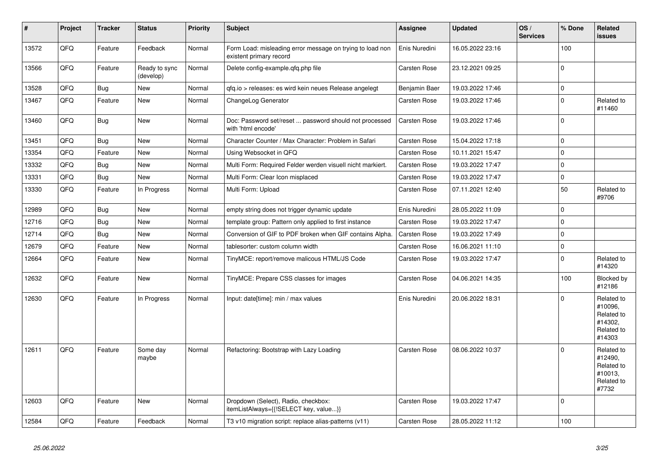| #     | Project | <b>Tracker</b> | <b>Status</b>              | <b>Priority</b> | <b>Subject</b>                                                                       | Assignee      | <b>Updated</b>   | OS/<br><b>Services</b> | % Done      | Related<br>issues                                                      |
|-------|---------|----------------|----------------------------|-----------------|--------------------------------------------------------------------------------------|---------------|------------------|------------------------|-------------|------------------------------------------------------------------------|
| 13572 | QFQ     | Feature        | Feedback                   | Normal          | Form Load: misleading error message on trying to load non<br>existent primary record | Enis Nuredini | 16.05.2022 23:16 |                        | 100         |                                                                        |
| 13566 | QFQ     | Feature        | Ready to sync<br>(develop) | Normal          | Delete config-example.qfq.php file                                                   | Carsten Rose  | 23.12.2021 09:25 |                        | $\Omega$    |                                                                        |
| 13528 | QFQ     | <b>Bug</b>     | <b>New</b>                 | Normal          | qfq.io > releases: es wird kein neues Release angelegt                               | Benjamin Baer | 19.03.2022 17:46 |                        | $\Omega$    |                                                                        |
| 13467 | QFQ     | Feature        | <b>New</b>                 | Normal          | ChangeLog Generator                                                                  | Carsten Rose  | 19.03.2022 17:46 |                        | $\Omega$    | Related to<br>#11460                                                   |
| 13460 | QFQ     | <b>Bug</b>     | <b>New</b>                 | Normal          | Doc: Password set/reset  password should not processed<br>with 'html encode'         | Carsten Rose  | 19.03.2022 17:46 |                        | $\Omega$    |                                                                        |
| 13451 | QFQ     | Bug            | <b>New</b>                 | Normal          | Character Counter / Max Character: Problem in Safari                                 | Carsten Rose  | 15.04.2022 17:18 |                        | $\mathbf 0$ |                                                                        |
| 13354 | QFQ     | Feature        | New                        | Normal          | Using Websocket in QFQ                                                               | Carsten Rose  | 10.11.2021 15:47 |                        | $\Omega$    |                                                                        |
| 13332 | QFQ     | <b>Bug</b>     | New                        | Normal          | Multi Form: Required Felder werden visuell nicht markiert.                           | Carsten Rose  | 19.03.2022 17:47 |                        | $\mathbf 0$ |                                                                        |
| 13331 | QFQ     | <b>Bug</b>     | <b>New</b>                 | Normal          | Multi Form: Clear Icon misplaced                                                     | Carsten Rose  | 19.03.2022 17:47 |                        | $\mathbf 0$ |                                                                        |
| 13330 | QFQ     | Feature        | In Progress                | Normal          | Multi Form: Upload                                                                   | Carsten Rose  | 07.11.2021 12:40 |                        | 50          | Related to<br>#9706                                                    |
| 12989 | QFQ     | <b>Bug</b>     | <b>New</b>                 | Normal          | empty string does not trigger dynamic update                                         | Enis Nuredini | 28.05.2022 11:09 |                        | $\Omega$    |                                                                        |
| 12716 | QFQ     | <b>Bug</b>     | New                        | Normal          | template group: Pattern only applied to first instance                               | Carsten Rose  | 19.03.2022 17:47 |                        | $\mathbf 0$ |                                                                        |
| 12714 | QFQ     | Bug            | <b>New</b>                 | Normal          | Conversion of GIF to PDF broken when GIF contains Alpha.                             | Carsten Rose  | 19.03.2022 17:49 |                        | $\mathbf 0$ |                                                                        |
| 12679 | QFQ     | Feature        | New                        | Normal          | tablesorter: custom column width                                                     | Carsten Rose  | 16.06.2021 11:10 |                        | $\mathbf 0$ |                                                                        |
| 12664 | QFQ     | Feature        | <b>New</b>                 | Normal          | TinyMCE: report/remove malicous HTML/JS Code                                         | Carsten Rose  | 19.03.2022 17:47 |                        | $\Omega$    | Related to<br>#14320                                                   |
| 12632 | QFQ     | Feature        | <b>New</b>                 | Normal          | TinyMCE: Prepare CSS classes for images                                              | Carsten Rose  | 04.06.2021 14:35 |                        | 100         | Blocked by<br>#12186                                                   |
| 12630 | QFQ     | Feature        | In Progress                | Normal          | Input: date[time]: min / max values                                                  | Enis Nuredini | 20.06.2022 18:31 |                        | $\Omega$    | Related to<br>#10096.<br>Related to<br>#14302.<br>Related to<br>#14303 |
| 12611 | QFQ     | Feature        | Some day<br>maybe          | Normal          | Refactoring: Bootstrap with Lazy Loading                                             | Carsten Rose  | 08.06.2022 10:37 |                        | $\Omega$    | Related to<br>#12490,<br>Related to<br>#10013,<br>Related to<br>#7732  |
| 12603 | QFQ     | Feature        | <b>New</b>                 | Normal          | Dropdown (Select), Radio, checkbox:<br>itemListAlways={{!SELECT key, value}}         | Carsten Rose  | 19.03.2022 17:47 |                        | $\Omega$    |                                                                        |
| 12584 | QFQ     | Feature        | Feedback                   | Normal          | T3 v10 migration script: replace alias-patterns (v11)                                | Carsten Rose  | 28.05.2022 11:12 |                        | 100         |                                                                        |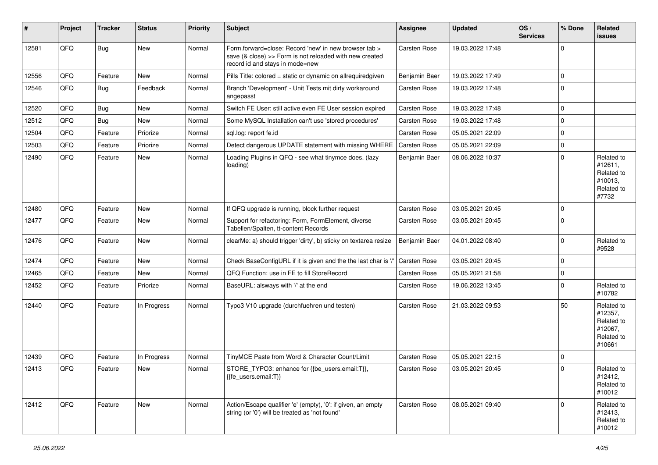| #     | Project | <b>Tracker</b> | <b>Status</b> | <b>Priority</b> | Subject                                                                                                                                             | Assignee            | <b>Updated</b>   | OS/<br><b>Services</b> | % Done      | Related<br>issues                                                      |
|-------|---------|----------------|---------------|-----------------|-----------------------------------------------------------------------------------------------------------------------------------------------------|---------------------|------------------|------------------------|-------------|------------------------------------------------------------------------|
| 12581 | QFQ     | <b>Bug</b>     | New           | Normal          | Form.forward=close: Record 'new' in new browser tab ><br>save (& close) >> Form is not reloaded with new created<br>record id and stays in mode=new | Carsten Rose        | 19.03.2022 17:48 |                        | $\Omega$    |                                                                        |
| 12556 | QFQ     | Feature        | New           | Normal          | Pills Title: colored = static or dynamic on allrequiredgiven                                                                                        | Benjamin Baer       | 19.03.2022 17:49 |                        | $\Omega$    |                                                                        |
| 12546 | QFQ     | Bug            | Feedback      | Normal          | Branch 'Development' - Unit Tests mit dirty workaround<br>angepasst                                                                                 | Carsten Rose        | 19.03.2022 17:48 |                        | $\Omega$    |                                                                        |
| 12520 | QFQ     | Bug            | New           | Normal          | Switch FE User: still active even FE User session expired                                                                                           | Carsten Rose        | 19.03.2022 17:48 |                        | $\mathbf 0$ |                                                                        |
| 12512 | QFQ     | Bug            | New           | Normal          | Some MySQL Installation can't use 'stored procedures'                                                                                               | Carsten Rose        | 19.03.2022 17:48 |                        | 0           |                                                                        |
| 12504 | QFQ     | Feature        | Priorize      | Normal          | sql.log: report fe.id                                                                                                                               | Carsten Rose        | 05.05.2021 22:09 |                        | $\Omega$    |                                                                        |
| 12503 | QFQ     | Feature        | Priorize      | Normal          | Detect dangerous UPDATE statement with missing WHERE                                                                                                | <b>Carsten Rose</b> | 05.05.2021 22:09 |                        | $\mathbf 0$ |                                                                        |
| 12490 | QFQ     | Feature        | New           | Normal          | Loading Plugins in QFQ - see what tinymce does. (lazy<br>loading)                                                                                   | Benjamin Baer       | 08.06.2022 10:37 |                        | $\Omega$    | Related to<br>#12611,<br>Related to<br>#10013,<br>Related to<br>#7732  |
| 12480 | QFQ     | Feature        | New           | Normal          | If QFQ upgrade is running, block further request                                                                                                    | Carsten Rose        | 03.05.2021 20:45 |                        | $\Omega$    |                                                                        |
| 12477 | QFQ     | Feature        | New           | Normal          | Support for refactoring: Form, FormElement, diverse<br>Tabellen/Spalten, tt-content Records                                                         | Carsten Rose        | 03.05.2021 20:45 |                        | $\Omega$    |                                                                        |
| 12476 | QFQ     | Feature        | New           | Normal          | clearMe: a) should trigger 'dirty', b) sticky on textarea resize                                                                                    | Benjamin Baer       | 04.01.2022 08:40 |                        | $\Omega$    | Related to<br>#9528                                                    |
| 12474 | QFQ     | Feature        | New           | Normal          | Check BaseConfigURL if it is given and the the last char is '/                                                                                      | Carsten Rose        | 03.05.2021 20:45 |                        | U           |                                                                        |
| 12465 | QFQ     | Feature        | New           | Normal          | QFQ Function: use in FE to fill StoreRecord                                                                                                         | Carsten Rose        | 05.05.2021 21:58 |                        | $\Omega$    |                                                                        |
| 12452 | QFQ     | Feature        | Priorize      | Normal          | BaseURL: alsways with '/' at the end                                                                                                                | Carsten Rose        | 19.06.2022 13:45 |                        | $\Omega$    | Related to<br>#10782                                                   |
| 12440 | QFQ     | Feature        | In Progress   | Normal          | Typo3 V10 upgrade (durchfuehren und testen)                                                                                                         | Carsten Rose        | 21.03.2022 09:53 |                        | 50          | Related to<br>#12357,<br>Related to<br>#12067,<br>Related to<br>#10661 |
| 12439 | QFQ     | Feature        | In Progress   | Normal          | TinyMCE Paste from Word & Character Count/Limit                                                                                                     | Carsten Rose        | 05.05.2021 22:15 |                        | $\Omega$    |                                                                        |
| 12413 | QFQ     | Feature        | New           | Normal          | STORE_TYPO3: enhance for {{be_users.email:T}},<br>{{fe_users.email:T}}                                                                              | Carsten Rose        | 03.05.2021 20:45 |                        | $\Omega$    | Related to<br>#12412,<br>Related to<br>#10012                          |
| 12412 | QFQ     | Feature        | New           | Normal          | Action/Escape qualifier 'e' (empty), '0': if given, an empty<br>string (or '0') will be treated as 'not found'                                      | Carsten Rose        | 08.05.2021 09:40 |                        | $\Omega$    | Related to<br>#12413,<br>Related to<br>#10012                          |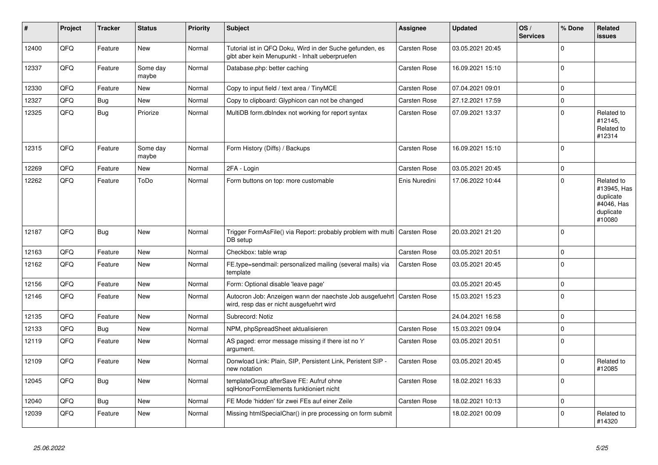| #     | Project | <b>Tracker</b> | <b>Status</b>     | <b>Priority</b> | <b>Subject</b>                                                                                             | <b>Assignee</b>     | <b>Updated</b>   | OS/<br><b>Services</b> | % Done      | Related<br>issues                                                           |
|-------|---------|----------------|-------------------|-----------------|------------------------------------------------------------------------------------------------------------|---------------------|------------------|------------------------|-------------|-----------------------------------------------------------------------------|
| 12400 | QFQ     | Feature        | <b>New</b>        | Normal          | Tutorial ist in QFQ Doku, Wird in der Suche gefunden, es<br>gibt aber kein Menupunkt - Inhalt ueberpruefen | <b>Carsten Rose</b> | 03.05.2021 20:45 |                        | $\Omega$    |                                                                             |
| 12337 | QFQ     | Feature        | Some day<br>maybe | Normal          | Database.php: better caching                                                                               | Carsten Rose        | 16.09.2021 15:10 |                        | $\Omega$    |                                                                             |
| 12330 | QFQ     | Feature        | <b>New</b>        | Normal          | Copy to input field / text area / TinyMCE                                                                  | Carsten Rose        | 07.04.2021 09:01 |                        | $\Omega$    |                                                                             |
| 12327 | QFQ     | Bug            | <b>New</b>        | Normal          | Copy to clipboard: Glyphicon can not be changed                                                            | <b>Carsten Rose</b> | 27.12.2021 17:59 |                        | $\Omega$    |                                                                             |
| 12325 | QFQ     | <b>Bug</b>     | Priorize          | Normal          | MultiDB form.dbIndex not working for report syntax                                                         | Carsten Rose        | 07.09.2021 13:37 |                        | $\Omega$    | Related to<br>#12145,<br>Related to<br>#12314                               |
| 12315 | QFQ     | Feature        | Some day<br>maybe | Normal          | Form History (Diffs) / Backups                                                                             | <b>Carsten Rose</b> | 16.09.2021 15:10 |                        | $\Omega$    |                                                                             |
| 12269 | QFQ     | Feature        | <b>New</b>        | Normal          | 2FA - Login                                                                                                | Carsten Rose        | 03.05.2021 20:45 |                        | $\Omega$    |                                                                             |
| 12262 | QFQ     | Feature        | ToDo              | Normal          | Form buttons on top: more customable                                                                       | Enis Nuredini       | 17.06.2022 10:44 |                        | $\Omega$    | Related to<br>#13945, Has<br>duplicate<br>#4046, Has<br>duplicate<br>#10080 |
| 12187 | QFQ     | Bug            | <b>New</b>        | Normal          | Trigger FormAsFile() via Report: probably problem with multi<br>DB setup                                   | <b>Carsten Rose</b> | 20.03.2021 21:20 |                        | $\Omega$    |                                                                             |
| 12163 | QFQ     | Feature        | <b>New</b>        | Normal          | Checkbox: table wrap                                                                                       | Carsten Rose        | 03.05.2021 20:51 |                        | $\mathbf 0$ |                                                                             |
| 12162 | QFQ     | Feature        | <b>New</b>        | Normal          | FE.type=sendmail: personalized mailing (several mails) via<br>template                                     | Carsten Rose        | 03.05.2021 20:45 |                        | $\mathbf 0$ |                                                                             |
| 12156 | QFQ     | Feature        | <b>New</b>        | Normal          | Form: Optional disable 'leave page'                                                                        |                     | 03.05.2021 20:45 |                        | $\mathbf 0$ |                                                                             |
| 12146 | QFQ     | Feature        | <b>New</b>        | Normal          | Autocron Job: Anzeigen wann der naechste Job ausgefuehrt<br>wird, resp das er nicht ausgefuehrt wird       | <b>Carsten Rose</b> | 15.03.2021 15:23 |                        | $\mathbf 0$ |                                                                             |
| 12135 | QFQ     | Feature        | <b>New</b>        | Normal          | Subrecord: Notiz                                                                                           |                     | 24.04.2021 16:58 |                        | $\mathbf 0$ |                                                                             |
| 12133 | QFQ     | <b>Bug</b>     | <b>New</b>        | Normal          | NPM, phpSpreadSheet aktualisieren                                                                          | <b>Carsten Rose</b> | 15.03.2021 09:04 |                        | $\mathbf 0$ |                                                                             |
| 12119 | QFQ     | Feature        | <b>New</b>        | Normal          | AS paged: error message missing if there ist no 'r'<br>argument.                                           | Carsten Rose        | 03.05.2021 20:51 |                        | $\Omega$    |                                                                             |
| 12109 | QFQ     | Feature        | <b>New</b>        | Normal          | Donwload Link: Plain, SIP, Persistent Link, Peristent SIP -<br>new notation                                | <b>Carsten Rose</b> | 03.05.2021 20:45 |                        | $\mathbf 0$ | Related to<br>#12085                                                        |
| 12045 | QFQ     | Bug            | <b>New</b>        | Normal          | templateGroup afterSave FE: Aufruf ohne<br>sqlHonorFormElements funktioniert nicht                         | Carsten Rose        | 18.02.2021 16:33 |                        | $\Omega$    |                                                                             |
| 12040 | QFQ     | Bug            | <b>New</b>        | Normal          | FE Mode 'hidden' für zwei FEs auf einer Zeile                                                              | Carsten Rose        | 18.02.2021 10:13 |                        | $\mathbf 0$ |                                                                             |
| 12039 | QFQ     | Feature        | <b>New</b>        | Normal          | Missing htmlSpecialChar() in pre processing on form submit                                                 |                     | 18.02.2021 00:09 |                        | $\Omega$    | Related to<br>#14320                                                        |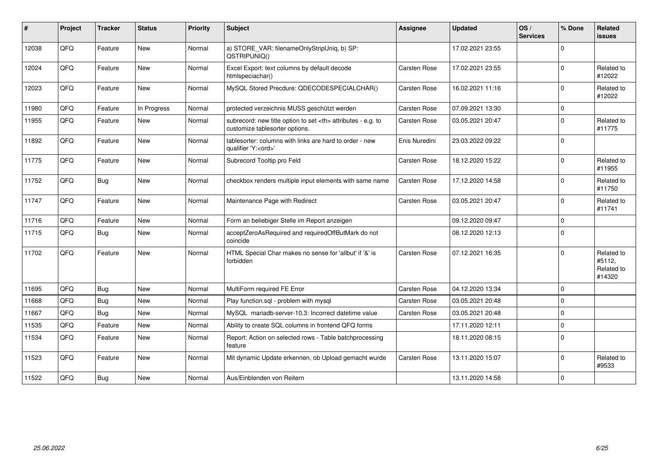| #     | Project | <b>Tracker</b> | <b>Status</b> | Priority | <b>Subject</b>                                                                                       | Assignee                                               | <b>Updated</b>   | OS/<br><b>Services</b> | % Done      | Related<br><b>issues</b>                     |                      |
|-------|---------|----------------|---------------|----------|------------------------------------------------------------------------------------------------------|--------------------------------------------------------|------------------|------------------------|-------------|----------------------------------------------|----------------------|
| 12038 | QFQ     | Feature        | New           | Normal   | a) STORE_VAR: filenameOnlyStripUniq, b) SP:<br>QSTRIPUNIQ()                                          |                                                        | 17.02.2021 23:55 |                        | $\Omega$    |                                              |                      |
| 12024 | QFQ     | Feature        | New           | Normal   | Excel Export: text columns by default decode<br>htmlspeciachar()                                     | Carsten Rose                                           | 17.02.2021 23:55 |                        | $\Omega$    | Related to<br>#12022                         |                      |
| 12023 | QFQ     | Feature        | <b>New</b>    | Normal   | MySQL Stored Precdure: QDECODESPECIALCHAR()                                                          | Carsten Rose                                           | 16.02.2021 11:16 |                        | $\Omega$    | Related to<br>#12022                         |                      |
| 11980 | QFQ     | Feature        | In Progress   | Normal   | protected verzeichnis MUSS geschützt werden                                                          | Carsten Rose                                           | 07.09.2021 13:30 |                        | $\mathbf 0$ |                                              |                      |
| 11955 | QFQ     | Feature        | <b>New</b>    | Normal   | subrecord: new title option to set <th> attributes - e.g. to<br/>customize tablesorter options.</th> | attributes - e.g. to<br>customize tablesorter options. | Carsten Rose     | 03.05.2021 20:47       |             | $\Omega$                                     | Related to<br>#11775 |
| 11892 | QFQ     | Feature        | <b>New</b>    | Normal   | tablesorter: columns with links are hard to order - new<br>qualifier 'Y: <ord>'</ord>                | Enis Nuredini                                          | 23.03.2022 09:22 |                        | $\Omega$    |                                              |                      |
| 11775 | QFQ     | Feature        | <b>New</b>    | Normal   | Subrecord Tooltip pro Feld                                                                           | Carsten Rose                                           | 18.12.2020 15:22 |                        | $\Omega$    | Related to<br>#11955                         |                      |
| 11752 | QFQ     | Bug            | New           | Normal   | checkbox renders multiple input elements with same name                                              | <b>Carsten Rose</b>                                    | 17.12.2020 14:58 |                        | $\Omega$    | Related to<br>#11750                         |                      |
| 11747 | QFQ     | Feature        | New           | Normal   | Maintenance Page with Redirect                                                                       | Carsten Rose                                           | 03.05.2021 20:47 |                        | $\Omega$    | Related to<br>#11741                         |                      |
| 11716 | QFQ     | Feature        | New           | Normal   | Form an beliebiger Stelle im Report anzeigen                                                         |                                                        | 09.12.2020 09:47 |                        | $\Omega$    |                                              |                      |
| 11715 | QFQ     | <b>Bug</b>     | <b>New</b>    | Normal   | acceptZeroAsRequired and requiredOffButMark do not<br>coincide                                       |                                                        | 08.12.2020 12:13 |                        | $\Omega$    |                                              |                      |
| 11702 | QFQ     | Feature        | <b>New</b>    | Normal   | HTML Special Char makes no sense for 'allbut' if '&' is<br>forbidden                                 | Carsten Rose                                           | 07.12.2021 16:35 |                        | $\Omega$    | Related to<br>#5112,<br>Related to<br>#14320 |                      |
| 11695 | QFQ     | <b>Bug</b>     | <b>New</b>    | Normal   | MultiForm required FE Error                                                                          | Carsten Rose                                           | 04.12.2020 13:34 |                        | $\Omega$    |                                              |                      |
| 11668 | QFQ     | Bug            | <b>New</b>    | Normal   | Play function.sql - problem with mysql                                                               | Carsten Rose                                           | 03.05.2021 20:48 |                        | $\Omega$    |                                              |                      |
| 11667 | QFQ     | Bug            | <b>New</b>    | Normal   | MySQL mariadb-server-10.3: Incorrect datetime value                                                  | Carsten Rose                                           | 03.05.2021 20:48 |                        | $\Omega$    |                                              |                      |
| 11535 | QFQ     | Feature        | New           | Normal   | Ability to create SQL columns in frontend QFQ forms                                                  |                                                        | 17.11.2020 12:11 |                        | $\mathbf 0$ |                                              |                      |
| 11534 | QFQ     | Feature        | New           | Normal   | Report: Action on selected rows - Table batchprocessing<br>feature                                   |                                                        | 18.11.2020 08:15 |                        | $\Omega$    |                                              |                      |
| 11523 | QFQ     | Feature        | <b>New</b>    | Normal   | Mit dynamic Update erkennen, ob Upload gemacht wurde                                                 | Carsten Rose                                           | 13.11.2020 15:07 |                        | $\Omega$    | Related to<br>#9533                          |                      |
| 11522 | QFQ     | <b>Bug</b>     | New           | Normal   | Aus/Einblenden von Reitern                                                                           |                                                        | 13.11.2020 14:58 |                        | $\Omega$    |                                              |                      |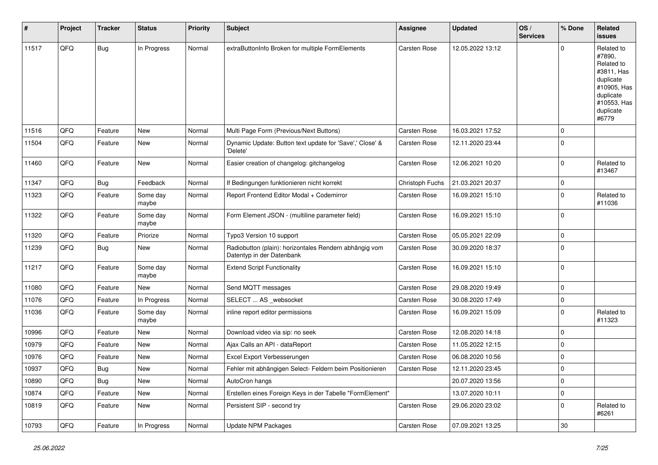| #     | Project | <b>Tracker</b> | <b>Status</b>     | <b>Priority</b> | <b>Subject</b>                                                                      | Assignee            | <b>Updated</b>   | OS/<br><b>Services</b> | % Done      | Related<br>issues                                                                                                              |
|-------|---------|----------------|-------------------|-----------------|-------------------------------------------------------------------------------------|---------------------|------------------|------------------------|-------------|--------------------------------------------------------------------------------------------------------------------------------|
| 11517 | QFQ     | <b>Bug</b>     | In Progress       | Normal          | extraButtonInfo Broken for multiple FormElements                                    | Carsten Rose        | 12.05.2022 13:12 |                        | $\Omega$    | Related to<br>#7890,<br>Related to<br>#3811, Has<br>duplicate<br>#10905, Has<br>duplicate<br>#10553, Has<br>duplicate<br>#6779 |
| 11516 | QFQ     | Feature        | New               | Normal          | Multi Page Form (Previous/Next Buttons)                                             | Carsten Rose        | 16.03.2021 17:52 |                        | $\mathbf 0$ |                                                                                                                                |
| 11504 | QFQ     | Feature        | New               | Normal          | Dynamic Update: Button text update for 'Save',' Close' &<br>'Delete'                | <b>Carsten Rose</b> | 12.11.2020 23:44 |                        | 0           |                                                                                                                                |
| 11460 | QFQ     | Feature        | New               | Normal          | Easier creation of changelog: gitchangelog                                          | <b>Carsten Rose</b> | 12.06.2021 10:20 |                        | 0           | Related to<br>#13467                                                                                                           |
| 11347 | QFQ     | Bug            | Feedback          | Normal          | If Bedingungen funktionieren nicht korrekt                                          | Christoph Fuchs     | 21.03.2021 20:37 |                        | $\mathbf 0$ |                                                                                                                                |
| 11323 | QFQ     | Feature        | Some day<br>maybe | Normal          | Report Frontend Editor Modal + Codemirror                                           | Carsten Rose        | 16.09.2021 15:10 |                        | $\Omega$    | Related to<br>#11036                                                                                                           |
| 11322 | QFQ     | Feature        | Some day<br>maybe | Normal          | Form Element JSON - (multiline parameter field)                                     | Carsten Rose        | 16.09.2021 15:10 |                        | $\Omega$    |                                                                                                                                |
| 11320 | QFQ     | Feature        | Priorize          | Normal          | Typo3 Version 10 support                                                            | Carsten Rose        | 05.05.2021 22:09 |                        | $\mathbf 0$ |                                                                                                                                |
| 11239 | QFQ     | <b>Bug</b>     | New               | Normal          | Radiobutton (plain): horizontales Rendern abhängig vom<br>Datentyp in der Datenbank | Carsten Rose        | 30.09.2020 18:37 |                        | $\Omega$    |                                                                                                                                |
| 11217 | QFQ     | Feature        | Some day<br>maybe | Normal          | <b>Extend Script Functionality</b>                                                  | Carsten Rose        | 16.09.2021 15:10 |                        | $\mathbf 0$ |                                                                                                                                |
| 11080 | QFQ     | Feature        | New               | Normal          | Send MQTT messages                                                                  | Carsten Rose        | 29.08.2020 19:49 |                        | $\mathbf 0$ |                                                                                                                                |
| 11076 | QFQ     | Feature        | In Progress       | Normal          | SELECT  AS _websocket                                                               | Carsten Rose        | 30.08.2020 17:49 |                        | 0           |                                                                                                                                |
| 11036 | QFQ     | Feature        | Some day<br>maybe | Normal          | inline report editor permissions                                                    | Carsten Rose        | 16.09.2021 15:09 |                        | $\Omega$    | Related to<br>#11323                                                                                                           |
| 10996 | QFQ     | Feature        | New               | Normal          | Download video via sip: no seek                                                     | Carsten Rose        | 12.08.2020 14:18 |                        | $\mathbf 0$ |                                                                                                                                |
| 10979 | QFQ     | Feature        | <b>New</b>        | Normal          | Ajax Calls an API - dataReport                                                      | Carsten Rose        | 11.05.2022 12:15 |                        | $\mathbf 0$ |                                                                                                                                |
| 10976 | QFQ     | Feature        | New               | Normal          | Excel Export Verbesserungen                                                         | Carsten Rose        | 06.08.2020 10:56 |                        | 0           |                                                                                                                                |
| 10937 | QFQ     | Bug            | New               | Normal          | Fehler mit abhängigen Select- Feldern beim Positionieren                            | <b>Carsten Rose</b> | 12.11.2020 23:45 |                        | 0           |                                                                                                                                |
| 10890 | QFQ     | <b>Bug</b>     | New               | Normal          | AutoCron hangs                                                                      |                     | 20.07.2020 13:56 |                        | 0           |                                                                                                                                |
| 10874 | QFQ     | Feature        | New               | Normal          | Erstellen eines Foreign Keys in der Tabelle "FormElement"                           |                     | 13.07.2020 10:11 |                        | 0           |                                                                                                                                |
| 10819 | QFQ     | Feature        | New               | Normal          | Persistent SIP - second try                                                         | Carsten Rose        | 29.06.2020 23:02 |                        | $\mathbf 0$ | Related to<br>#6261                                                                                                            |
| 10793 | QFQ     | Feature        | In Progress       | Normal          | <b>Update NPM Packages</b>                                                          | Carsten Rose        | 07.09.2021 13:25 |                        | $30\,$      |                                                                                                                                |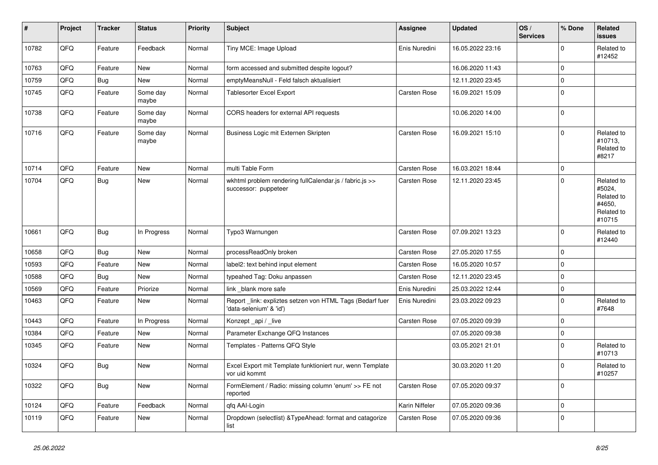| $\vert$ # | Project | <b>Tracker</b> | <b>Status</b>     | <b>Priority</b> | <b>Subject</b>                                                                      | <b>Assignee</b> | Updated          | OS/<br><b>Services</b> | % Done              | Related<br><b>issues</b>                                             |
|-----------|---------|----------------|-------------------|-----------------|-------------------------------------------------------------------------------------|-----------------|------------------|------------------------|---------------------|----------------------------------------------------------------------|
| 10782     | QFQ     | Feature        | Feedback          | Normal          | Tiny MCE: Image Upload                                                              | Enis Nuredini   | 16.05.2022 23:16 |                        | $\mathbf 0$         | Related to<br>#12452                                                 |
| 10763     | QFQ     | Feature        | <b>New</b>        | Normal          | form accessed and submitted despite logout?                                         |                 | 16.06.2020 11:43 |                        | $\mathbf 0$         |                                                                      |
| 10759     | QFQ     | Bug            | New               | Normal          | emptyMeansNull - Feld falsch aktualisiert                                           |                 | 12.11.2020 23:45 |                        | $\mathbf 0$         |                                                                      |
| 10745     | QFQ     | Feature        | Some day<br>maybe | Normal          | <b>Tablesorter Excel Export</b>                                                     | Carsten Rose    | 16.09.2021 15:09 |                        | $\mathbf 0$         |                                                                      |
| 10738     | QFQ     | Feature        | Some day<br>maybe | Normal          | CORS headers for external API requests                                              |                 | 10.06.2020 14:00 |                        | $\mathsf{O}\xspace$ |                                                                      |
| 10716     | QFQ     | Feature        | Some day<br>maybe | Normal          | Business Logic mit Externen Skripten                                                | Carsten Rose    | 16.09.2021 15:10 |                        | $\mathbf 0$         | Related to<br>#10713,<br>Related to<br>#8217                         |
| 10714     | QFQ     | Feature        | <b>New</b>        | Normal          | multi Table Form                                                                    | Carsten Rose    | 16.03.2021 18:44 |                        | $\mathbf 0$         |                                                                      |
| 10704     | QFQ     | <b>Bug</b>     | New               | Normal          | wkhtml problem rendering fullCalendar.js / fabric.js >><br>successor: puppeteer     | Carsten Rose    | 12.11.2020 23:45 |                        | $\mathbf 0$         | Related to<br>#5024,<br>Related to<br>#4650,<br>Related to<br>#10715 |
| 10661     | QFQ     | Bug            | In Progress       | Normal          | Typo3 Warnungen                                                                     | Carsten Rose    | 07.09.2021 13:23 |                        | $\mathbf 0$         | Related to<br>#12440                                                 |
| 10658     | QFQ     | <b>Bug</b>     | New               | Normal          | processReadOnly broken                                                              | Carsten Rose    | 27.05.2020 17:55 |                        | $\mathbf 0$         |                                                                      |
| 10593     | QFQ     | Feature        | <b>New</b>        | Normal          | label2: text behind input element                                                   | Carsten Rose    | 16.05.2020 10:57 |                        | $\mathbf 0$         |                                                                      |
| 10588     | QFQ     | Bug            | New               | Normal          | typeahed Tag: Doku anpassen                                                         | Carsten Rose    | 12.11.2020 23:45 |                        | $\mathbf 0$         |                                                                      |
| 10569     | QFQ     | Feature        | Priorize          | Normal          | link _blank more safe                                                               | Enis Nuredini   | 25.03.2022 12:44 |                        | $\mathbf 0$         |                                                                      |
| 10463     | QFQ     | Feature        | New               | Normal          | Report_link: expliztes setzen von HTML Tags (Bedarf fuer<br>'data-selenium' & 'id') | Enis Nuredini   | 23.03.2022 09:23 |                        | $\mathbf 0$         | Related to<br>#7648                                                  |
| 10443     | QFQ     | Feature        | In Progress       | Normal          | Konzept_api / _live                                                                 | Carsten Rose    | 07.05.2020 09:39 |                        | $\mathbf 0$         |                                                                      |
| 10384     | QFQ     | Feature        | New               | Normal          | Parameter Exchange QFQ Instances                                                    |                 | 07.05.2020 09:38 |                        | $\mathbf 0$         |                                                                      |
| 10345     | QFQ     | Feature        | New               | Normal          | Templates - Patterns QFQ Style                                                      |                 | 03.05.2021 21:01 |                        | $\mathbf 0$         | Related to<br>#10713                                                 |
| 10324     | QFQ     | Bug            | New               | Normal          | Excel Export mit Template funktioniert nur, wenn Template<br>vor uid kommt          |                 | 30.03.2020 11:20 |                        | $\mathbf 0$         | Related to<br>#10257                                                 |
| 10322     | QFQ     | <b>Bug</b>     | New               | Normal          | FormElement / Radio: missing column 'enum' >> FE not<br>reported                    | Carsten Rose    | 07.05.2020 09:37 |                        | $\mathbf 0$         |                                                                      |
| 10124     | QFQ     | Feature        | Feedback          | Normal          | qfq AAI-Login                                                                       | Karin Niffeler  | 07.05.2020 09:36 |                        | $\mathbf 0$         |                                                                      |
| 10119     | QFQ     | Feature        | New               | Normal          | Dropdown (selectlist) & TypeAhead: format and catagorize<br>list                    | Carsten Rose    | 07.05.2020 09:36 |                        | $\mathbf 0$         |                                                                      |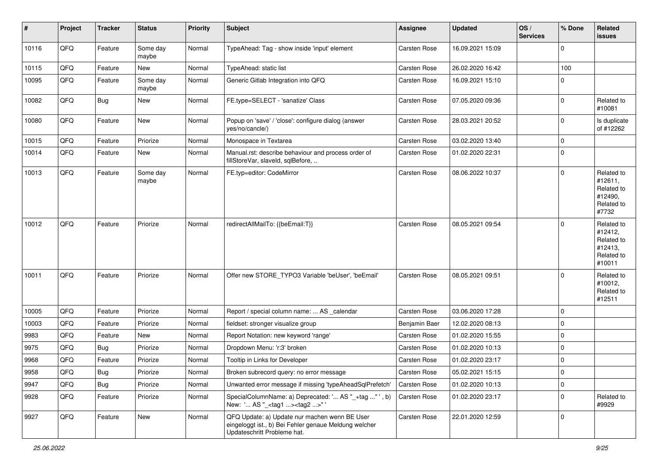| $\sharp$ | Project | <b>Tracker</b> | <b>Status</b>     | <b>Priority</b> | Subject                                                                                                                               | <b>Assignee</b> | <b>Updated</b>   | OS/<br><b>Services</b> | % Done                  | Related<br>issues                                                      |
|----------|---------|----------------|-------------------|-----------------|---------------------------------------------------------------------------------------------------------------------------------------|-----------------|------------------|------------------------|-------------------------|------------------------------------------------------------------------|
| 10116    | QFQ     | Feature        | Some day<br>maybe | Normal          | TypeAhead: Tag - show inside 'input' element                                                                                          | Carsten Rose    | 16.09.2021 15:09 |                        | $\mathbf 0$             |                                                                        |
| 10115    | QFQ     | Feature        | New               | Normal          | TypeAhead: static list                                                                                                                | Carsten Rose    | 26.02.2020 16:42 |                        | 100                     |                                                                        |
| 10095    | QFQ     | Feature        | Some day<br>maybe | Normal          | Generic Gitlab Integration into QFQ                                                                                                   | Carsten Rose    | 16.09.2021 15:10 |                        | $\Omega$                |                                                                        |
| 10082    | QFQ     | <b>Bug</b>     | <b>New</b>        | Normal          | FE.type=SELECT - 'sanatize' Class                                                                                                     | Carsten Rose    | 07.05.2020 09:36 |                        | 0                       | Related to<br>#10081                                                   |
| 10080    | QFQ     | Feature        | New               | Normal          | Popup on 'save' / 'close': configure dialog (answer<br>yes/no/cancle/)                                                                | Carsten Rose    | 28.03.2021 20:52 |                        | $\mathbf 0$             | Is duplicate<br>of #12262                                              |
| 10015    | QFQ     | Feature        | Priorize          | Normal          | Monospace in Textarea                                                                                                                 | Carsten Rose    | 03.02.2020 13:40 |                        | $\mathbf 0$             |                                                                        |
| 10014    | QFQ     | Feature        | New               | Normal          | Manual.rst: describe behaviour and process order of<br>fillStoreVar, slaveId, sqlBefore,                                              | Carsten Rose    | 01.02.2020 22:31 |                        | $\mathbf 0$             |                                                                        |
| 10013    | QFQ     | Feature        | Some day<br>maybe | Normal          | FE.typ=editor: CodeMirror                                                                                                             | Carsten Rose    | 08.06.2022 10:37 |                        | $\Omega$                | Related to<br>#12611,<br>Related to<br>#12490,<br>Related to<br>#7732  |
| 10012    | QFQ     | Feature        | Priorize          | Normal          | redirectAllMailTo: {{beEmail:T}}                                                                                                      | Carsten Rose    | 08.05.2021 09:54 |                        | $\Omega$                | Related to<br>#12412,<br>Related to<br>#12413,<br>Related to<br>#10011 |
| 10011    | QFQ     | Feature        | Priorize          | Normal          | Offer new STORE_TYPO3 Variable 'beUser', 'beEmail'                                                                                    | Carsten Rose    | 08.05.2021 09:51 |                        | $\Omega$                | Related to<br>#10012,<br>Related to<br>#12511                          |
| 10005    | QFQ     | Feature        | Priorize          | Normal          | Report / special column name:  AS _calendar                                                                                           | Carsten Rose    | 03.06.2020 17:28 |                        | $\Omega$                |                                                                        |
| 10003    | QFQ     | Feature        | Priorize          | Normal          | fieldset: stronger visualize group                                                                                                    | Benjamin Baer   | 12.02.2020 08:13 |                        | $\mathbf 0$             |                                                                        |
| 9983     | QFQ     | Feature        | New               | Normal          | Report Notation: new keyword 'range'                                                                                                  | Carsten Rose    | 01.02.2020 15:55 |                        | $\mathbf 0$             |                                                                        |
| 9975     | QFQ     | Bug            | Priorize          | Normal          | Dropdown Menu: 'r:3' broken                                                                                                           | Carsten Rose    | 01.02.2020 10:13 |                        | $\mathbf 0$             |                                                                        |
| 9968     | QFQ     | Feature        | Priorize          | Normal          | Tooltip in Links for Developer                                                                                                        | Carsten Rose    | 01.02.2020 23:17 |                        | $\mathbf 0$             |                                                                        |
| 9958     | QFQ     | <b>Bug</b>     | Priorize          | Normal          | Broken subrecord query: no error message                                                                                              | Carsten Rose    | 05.02.2021 15:15 |                        | $\overline{\mathbf{0}}$ |                                                                        |
| 9947     | QFQ     | <b>Bug</b>     | Priorize          | Normal          | Unwanted error message if missing 'typeAheadSqlPrefetch'                                                                              | Carsten Rose    | 01.02.2020 10:13 |                        | 0                       |                                                                        |
| 9928     | QFQ     | Feature        | Priorize          | Normal          | SpecialColumnName: a) Deprecated: ' AS "_+tag " ', b)<br>New: ' AS "_ <tag1><tag2>"'</tag2></tag1>                                    | Carsten Rose    | 01.02.2020 23:17 |                        | 0                       | Related to<br>#9929                                                    |
| 9927     | QFQ     | Feature        | New               | Normal          | QFQ Update: a) Update nur machen wenn BE User<br>eingeloggt ist., b) Bei Fehler genaue Meldung welcher<br>Updateschritt Probleme hat. | Carsten Rose    | 22.01.2020 12:59 |                        | 0                       |                                                                        |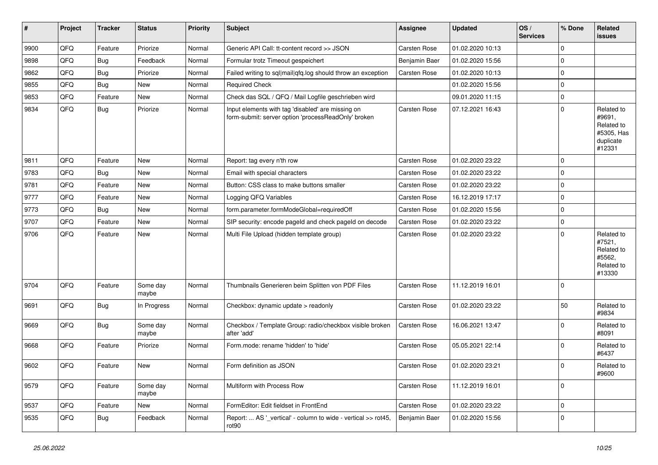| #    | Project | <b>Tracker</b> | <b>Status</b>     | Priority | <b>Subject</b>                                                                                           | <b>Assignee</b>     | Updated          | OS/<br><b>Services</b> | % Done      | Related<br>issues                                                       |
|------|---------|----------------|-------------------|----------|----------------------------------------------------------------------------------------------------------|---------------------|------------------|------------------------|-------------|-------------------------------------------------------------------------|
| 9900 | QFQ     | Feature        | Priorize          | Normal   | Generic API Call: tt-content record >> JSON                                                              | Carsten Rose        | 01.02.2020 10:13 |                        | $\mathbf 0$ |                                                                         |
| 9898 | QFQ     | <b>Bug</b>     | Feedback          | Normal   | Formular trotz Timeout gespeichert                                                                       | Benjamin Baer       | 01.02.2020 15:56 |                        | $\mathbf 0$ |                                                                         |
| 9862 | QFQ     | <b>Bug</b>     | Priorize          | Normal   | Failed writing to sql mail qfq.log should throw an exception                                             | Carsten Rose        | 01.02.2020 10:13 |                        | $\mathbf 0$ |                                                                         |
| 9855 | QFQ     | <b>Bug</b>     | New               | Normal   | <b>Required Check</b>                                                                                    |                     | 01.02.2020 15:56 |                        | $\mathbf 0$ |                                                                         |
| 9853 | QFQ     | Feature        | New               | Normal   | Check das SQL / QFQ / Mail Logfile geschrieben wird                                                      |                     | 09.01.2020 11:15 |                        | $\mathbf 0$ |                                                                         |
| 9834 | QFQ     | <b>Bug</b>     | Priorize          | Normal   | Input elements with tag 'disabled' are missing on<br>form-submit: server option 'processReadOnly' broken | Carsten Rose        | 07.12.2021 16:43 |                        | $\mathbf 0$ | Related to<br>#9691,<br>Related to<br>#5305, Has<br>duplicate<br>#12331 |
| 9811 | QFQ     | Feature        | <b>New</b>        | Normal   | Report: tag every n'th row                                                                               | Carsten Rose        | 01.02.2020 23:22 |                        | $\mathbf 0$ |                                                                         |
| 9783 | QFQ     | Bug            | New               | Normal   | Email with special characters                                                                            | Carsten Rose        | 01.02.2020 23:22 |                        | $\mathbf 0$ |                                                                         |
| 9781 | QFQ     | Feature        | New               | Normal   | Button: CSS class to make buttons smaller                                                                | Carsten Rose        | 01.02.2020 23:22 |                        | $\mathbf 0$ |                                                                         |
| 9777 | QFQ     | Feature        | New               | Normal   | Logging QFQ Variables                                                                                    | Carsten Rose        | 16.12.2019 17:17 |                        | $\mathbf 0$ |                                                                         |
| 9773 | QFG     | <b>Bug</b>     | New               | Normal   | form.parameter.formModeGlobal=requiredOff                                                                | Carsten Rose        | 01.02.2020 15:56 |                        | $\mathbf 0$ |                                                                         |
| 9707 | QFQ     | Feature        | New               | Normal   | SIP security: encode pageld and check pageld on decode                                                   | Carsten Rose        | 01.02.2020 23:22 |                        | $\mathbf 0$ |                                                                         |
| 9706 | QFQ     | Feature        | New               | Normal   | Multi File Upload (hidden template group)                                                                | Carsten Rose        | 01.02.2020 23:22 |                        | $\mathbf 0$ | Related to<br>#7521,<br>Related to<br>#5562,<br>Related to<br>#13330    |
| 9704 | QFQ     | Feature        | Some day<br>maybe | Normal   | Thumbnails Generieren beim Splitten von PDF Files                                                        | <b>Carsten Rose</b> | 11.12.2019 16:01 |                        | $\mathbf 0$ |                                                                         |
| 9691 | QFQ     | <b>Bug</b>     | In Progress       | Normal   | Checkbox: dynamic update > readonly                                                                      | Carsten Rose        | 01.02.2020 23:22 |                        | 50          | Related to<br>#9834                                                     |
| 9669 | QFQ     | Bug            | Some day<br>maybe | Normal   | Checkbox / Template Group: radio/checkbox visible broken<br>after 'add'                                  | Carsten Rose        | 16.06.2021 13:47 |                        | $\mathbf 0$ | Related to<br>#8091                                                     |
| 9668 | QFQ     | Feature        | Priorize          | Normal   | Form.mode: rename 'hidden' to 'hide'                                                                     | Carsten Rose        | 05.05.2021 22:14 |                        | $\mathbf 0$ | Related to<br>#6437                                                     |
| 9602 | QFQ     | Feature        | New               | Normal   | Form definition as JSON                                                                                  | Carsten Rose        | 01.02.2020 23:21 |                        | $\mathbf 0$ | Related to<br> #9600                                                    |
| 9579 | QFQ     | Feature        | Some day<br>maybe | Normal   | Multiform with Process Row                                                                               | Carsten Rose        | 11.12.2019 16:01 |                        | $\mathbf 0$ |                                                                         |
| 9537 | QFQ     | Feature        | New               | Normal   | FormEditor: Edit fieldset in FrontEnd                                                                    | Carsten Rose        | 01.02.2020 23:22 |                        | $\mathbf 0$ |                                                                         |
| 9535 | QFQ     | <b>Bug</b>     | Feedback          | Normal   | Report:  AS ' vertical' - column to wide - vertical >> rot45,<br>rot <sub>90</sub>                       | Benjamin Baer       | 01.02.2020 15:56 |                        | 0           |                                                                         |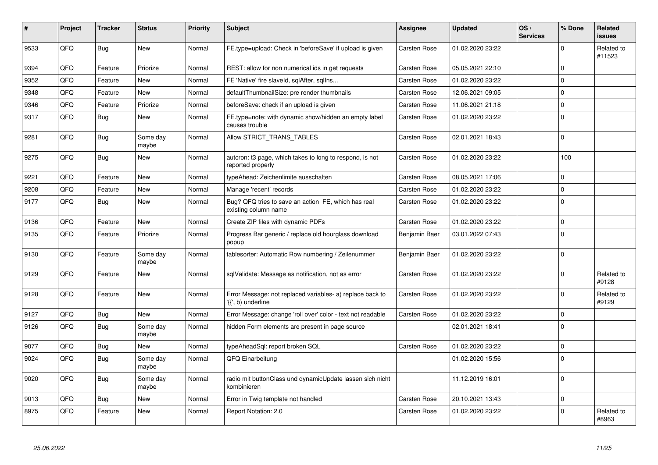| #    | <b>Project</b> | <b>Tracker</b> | <b>Status</b>     | <b>Priority</b> | <b>Subject</b>                                                                  | Assignee            | <b>Updated</b>   | OS/<br><b>Services</b> | % Done         | Related<br><b>issues</b> |
|------|----------------|----------------|-------------------|-----------------|---------------------------------------------------------------------------------|---------------------|------------------|------------------------|----------------|--------------------------|
| 9533 | QFQ            | Bug            | <b>New</b>        | Normal          | FE.type=upload: Check in 'beforeSave' if upload is given                        | <b>Carsten Rose</b> | 01.02.2020 23:22 |                        | $\Omega$       | Related to<br>#11523     |
| 9394 | QFQ            | Feature        | Priorize          | Normal          | REST: allow for non numerical ids in get requests                               | Carsten Rose        | 05.05.2021 22:10 |                        | $\Omega$       |                          |
| 9352 | QFQ            | Feature        | New               | Normal          | FE 'Native' fire slaveld, sqlAfter, sqllns                                      | <b>Carsten Rose</b> | 01.02.2020 23:22 |                        | $\mathbf 0$    |                          |
| 9348 | QFQ            | Feature        | New               | Normal          | defaultThumbnailSize: pre render thumbnails                                     | <b>Carsten Rose</b> | 12.06.2021 09:05 |                        | $\Omega$       |                          |
| 9346 | QFQ            | Feature        | Priorize          | Normal          | beforeSave: check if an upload is given                                         | <b>Carsten Rose</b> | 11.06.2021 21:18 |                        | $\mathbf 0$    |                          |
| 9317 | QFQ            | <b>Bug</b>     | New               | Normal          | FE.type=note: with dynamic show/hidden an empty label<br>causes trouble         | <b>Carsten Rose</b> | 01.02.2020 23:22 |                        | $\overline{0}$ |                          |
| 9281 | QFQ            | <b>Bug</b>     | Some day<br>maybe | Normal          | Allow STRICT_TRANS_TABLES                                                       | Carsten Rose        | 02.01.2021 18:43 |                        | $\Omega$       |                          |
| 9275 | QFQ            | Bug            | New               | Normal          | autcron: t3 page, which takes to long to respond, is not<br>reported properly   | <b>Carsten Rose</b> | 01.02.2020 23:22 |                        | 100            |                          |
| 9221 | QFQ            | Feature        | New               | Normal          | typeAhead: Zeichenlimite ausschalten                                            | <b>Carsten Rose</b> | 08.05.2021 17:06 |                        | $\Omega$       |                          |
| 9208 | QFQ            | Feature        | New               | Normal          | Manage 'recent' records                                                         | Carsten Rose        | 01.02.2020 23:22 |                        | $\Omega$       |                          |
| 9177 | QFQ            | Bug            | New               | Normal          | Bug? QFQ tries to save an action FE, which has real<br>existing column name     | <b>Carsten Rose</b> | 01.02.2020 23:22 |                        | $\overline{0}$ |                          |
| 9136 | QFQ            | Feature        | New               | Normal          | Create ZIP files with dynamic PDFs                                              | Carsten Rose        | 01.02.2020 23:22 |                        | $\Omega$       |                          |
| 9135 | QFQ            | Feature        | Priorize          | Normal          | Progress Bar generic / replace old hourglass download<br>popup                  | Benjamin Baer       | 03.01.2022 07:43 |                        | $\overline{0}$ |                          |
| 9130 | QFQ            | Feature        | Some day<br>maybe | Normal          | tablesorter: Automatic Row numbering / Zeilenummer                              | Benjamin Baer       | 01.02.2020 23:22 |                        | $\Omega$       |                          |
| 9129 | QFQ            | Feature        | New               | Normal          | sqlValidate: Message as notification, not as error                              | <b>Carsten Rose</b> | 01.02.2020 23:22 |                        | $\Omega$       | Related to<br>#9128      |
| 9128 | QFQ            | Feature        | New               | Normal          | Error Message: not replaced variables- a) replace back to<br>'{{', b) underline | <b>Carsten Rose</b> | 01.02.2020 23:22 |                        | $\Omega$       | Related to<br>#9129      |
| 9127 | QFQ            | Bug            | New               | Normal          | Error Message: change 'roll over' color - text not readable                     | <b>Carsten Rose</b> | 01.02.2020 23:22 |                        | $\Omega$       |                          |
| 9126 | QFQ            | Bug            | Some day<br>maybe | Normal          | hidden Form elements are present in page source                                 |                     | 02.01.2021 18:41 |                        | $\Omega$       |                          |
| 9077 | QFQ            | Bug            | New               | Normal          | typeAheadSql: report broken SQL                                                 | Carsten Rose        | 01.02.2020 23:22 |                        | $\mathbf 0$    |                          |
| 9024 | QFQ            | Bug            | Some day<br>maybe | Normal          | <b>QFQ Einarbeitung</b>                                                         |                     | 01.02.2020 15:56 |                        | $\Omega$       |                          |
| 9020 | QFQ            | <b>Bug</b>     | Some day<br>maybe | Normal          | radio mit buttonClass und dynamicUpdate lassen sich nicht<br>kombinieren        |                     | 11.12.2019 16:01 |                        | $\Omega$       |                          |
| 9013 | QFQ            | <b>Bug</b>     | New               | Normal          | Error in Twig template not handled                                              | <b>Carsten Rose</b> | 20.10.2021 13:43 |                        | $\overline{0}$ |                          |
| 8975 | QFQ            | Feature        | New               | Normal          | Report Notation: 2.0                                                            | Carsten Rose        | 01.02.2020 23:22 |                        | $\Omega$       | Related to<br>#8963      |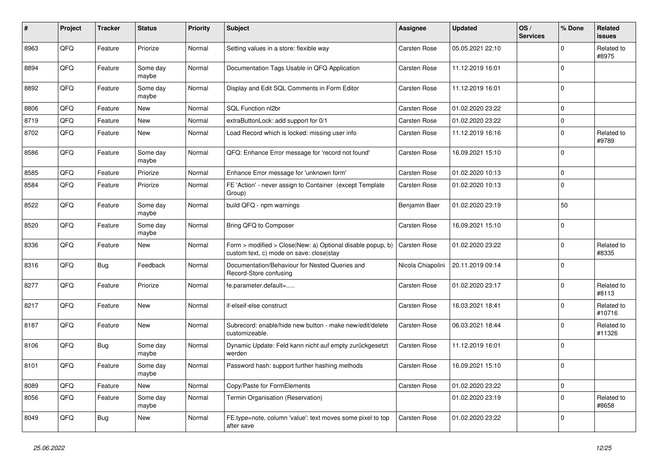| $\sharp$ | Project | <b>Tracker</b> | <b>Status</b>     | <b>Priority</b> | <b>Subject</b>                                                                                         | <b>Assignee</b>     | <b>Updated</b>   | OS/<br><b>Services</b> | % Done      | Related<br><b>issues</b> |
|----------|---------|----------------|-------------------|-----------------|--------------------------------------------------------------------------------------------------------|---------------------|------------------|------------------------|-------------|--------------------------|
| 8963     | QFQ     | Feature        | Priorize          | Normal          | Setting values in a store: flexible way                                                                | <b>Carsten Rose</b> | 05.05.2021 22:10 |                        | $\Omega$    | Related to<br>#8975      |
| 8894     | QFQ     | Feature        | Some day<br>maybe | Normal          | Documentation Tags Usable in QFQ Application                                                           | Carsten Rose        | 11.12.2019 16:01 |                        | l 0         |                          |
| 8892     | QFQ     | Feature        | Some day<br>maybe | Normal          | Display and Edit SQL Comments in Form Editor                                                           | Carsten Rose        | 11.12.2019 16:01 |                        | $\Omega$    |                          |
| 8806     | QFQ     | Feature        | <b>New</b>        | Normal          | SQL Function nl2br                                                                                     | Carsten Rose        | 01.02.2020 23:22 |                        | $\mathbf 0$ |                          |
| 8719     | QFQ     | Feature        | <b>New</b>        | Normal          | extraButtonLock: add support for 0/1                                                                   | Carsten Rose        | 01.02.2020 23:22 |                        | $\mathbf 0$ |                          |
| 8702     | QFQ     | Feature        | New               | Normal          | Load Record which is locked: missing user info                                                         | Carsten Rose        | 11.12.2019 16:16 |                        | $\mathbf 0$ | Related to<br>#9789      |
| 8586     | QFQ     | Feature        | Some day<br>maybe | Normal          | QFQ: Enhance Error message for 'record not found'                                                      | Carsten Rose        | 16.09.2021 15:10 |                        | $\mathbf 0$ |                          |
| 8585     | QFQ     | Feature        | Priorize          | Normal          | Enhance Error message for 'unknown form'                                                               | Carsten Rose        | 01.02.2020 10:13 |                        | $\mathbf 0$ |                          |
| 8584     | QFQ     | Feature        | Priorize          | Normal          | FE 'Action' - never assign to Container (except Template<br>Group)                                     | Carsten Rose        | 01.02.2020 10:13 |                        | $\Omega$    |                          |
| 8522     | QFQ     | Feature        | Some day<br>maybe | Normal          | build QFQ - npm warnings                                                                               | Benjamin Baer       | 01.02.2020 23:19 |                        | 50          |                          |
| 8520     | QFQ     | Feature        | Some day<br>maybe | Normal          | Bring QFQ to Composer                                                                                  | Carsten Rose        | 16.09.2021 15:10 |                        | l 0         |                          |
| 8336     | QFQ     | Feature        | New               | Normal          | Form > modified > Close New: a) Optional disable popup, b)<br>custom text, c) mode on save: close stay | Carsten Rose        | 01.02.2020 23:22 |                        | $\mathbf 0$ | Related to<br>#8335      |
| 8316     | QFQ     | <b>Bug</b>     | Feedback          | Normal          | Documentation/Behaviour for Nested Queries and<br>Record-Store confusing                               | Nicola Chiapolini   | 20.11.2019 09:14 |                        | $\mathbf 0$ |                          |
| 8277     | QFQ     | Feature        | Priorize          | Normal          | fe.parameter.default=                                                                                  | Carsten Rose        | 01.02.2020 23:17 |                        | $\Omega$    | Related to<br>#8113      |
| 8217     | QFQ     | Feature        | <b>New</b>        | Normal          | if-elseif-else construct                                                                               | <b>Carsten Rose</b> | 16.03.2021 18:41 |                        | $\Omega$    | Related to<br>#10716     |
| 8187     | QFQ     | Feature        | <b>New</b>        | Normal          | Subrecord: enable/hide new button - make new/edit/delete<br>customizeable.                             | Carsten Rose        | 06.03.2021 18:44 |                        | $\Omega$    | Related to<br>#11326     |
| 8106     | QFQ     | <b>Bug</b>     | Some day<br>maybe | Normal          | Dynamic Update: Feld kann nicht auf empty zurückgesetzt<br>werden                                      | Carsten Rose        | 11.12.2019 16:01 |                        | $\Omega$    |                          |
| 8101     | QFQ     | Feature        | Some day<br>maybe | Normal          | Password hash: support further hashing methods                                                         | Carsten Rose        | 16.09.2021 15:10 |                        | l 0         |                          |
| 8089     | QFQ     | Feature        | New               | Normal          | Copy/Paste for FormElements                                                                            | Carsten Rose        | 01.02.2020 23:22 |                        | $\mathbf 0$ |                          |
| 8056     | QFQ     | Feature        | Some day<br>maybe | Normal          | Termin Organisation (Reservation)                                                                      |                     | 01.02.2020 23:19 |                        | 0           | Related to<br>#8658      |
| 8049     | QFQ     | <b>Bug</b>     | New               | Normal          | FE.type=note, column 'value': text moves some pixel to top<br>after save                               | Carsten Rose        | 01.02.2020 23:22 |                        | $\mathbf 0$ |                          |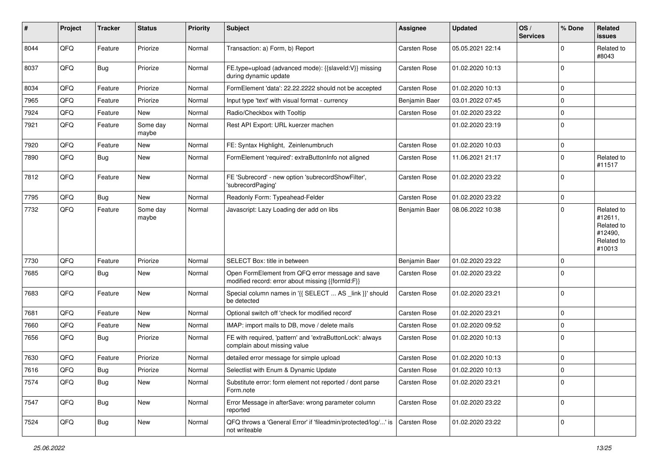| #    | Project | <b>Tracker</b> | <b>Status</b>     | <b>Priority</b> | Subject                                                                                               | <b>Assignee</b> | <b>Updated</b>   | OS/<br><b>Services</b> | % Done      | Related<br>issues                                                      |
|------|---------|----------------|-------------------|-----------------|-------------------------------------------------------------------------------------------------------|-----------------|------------------|------------------------|-------------|------------------------------------------------------------------------|
| 8044 | QFQ     | Feature        | Priorize          | Normal          | Transaction: a) Form, b) Report                                                                       | Carsten Rose    | 05.05.2021 22:14 |                        | $\Omega$    | Related to<br>#8043                                                    |
| 8037 | QFQ     | Bug            | Priorize          | Normal          | FE.type=upload (advanced mode): {{slaveId:V}} missing<br>during dynamic update                        | Carsten Rose    | 01.02.2020 10:13 |                        | $\mathbf 0$ |                                                                        |
| 8034 | QFQ     | Feature        | Priorize          | Normal          | FormElement 'data': 22.22.2222 should not be accepted                                                 | Carsten Rose    | 01.02.2020 10:13 |                        | $\Omega$    |                                                                        |
| 7965 | QFQ     | Feature        | Priorize          | Normal          | Input type 'text' with visual format - currency                                                       | Benjamin Baer   | 03.01.2022 07:45 |                        | $\Omega$    |                                                                        |
| 7924 | QFQ     | Feature        | New               | Normal          | Radio/Checkbox with Tooltip                                                                           | Carsten Rose    | 01.02.2020 23:22 |                        | 0           |                                                                        |
| 7921 | QFQ     | Feature        | Some day<br>maybe | Normal          | Rest API Export: URL kuerzer machen                                                                   |                 | 01.02.2020 23:19 |                        | $\mathbf 0$ |                                                                        |
| 7920 | QFQ     | Feature        | <b>New</b>        | Normal          | FE: Syntax Highlight, Zeinlenumbruch                                                                  | Carsten Rose    | 01.02.2020 10:03 |                        | 0           |                                                                        |
| 7890 | QFQ     | Bug            | New               | Normal          | FormElement 'required': extraButtonInfo not aligned                                                   | Carsten Rose    | 11.06.2021 21:17 |                        | $\mathbf 0$ | Related to<br>#11517                                                   |
| 7812 | QFQ     | Feature        | <b>New</b>        | Normal          | FE 'Subrecord' - new option 'subrecordShowFilter',<br>'subrecordPaging'                               | Carsten Rose    | 01.02.2020 23:22 |                        | $\Omega$    |                                                                        |
| 7795 | QFQ     | Bug            | <b>New</b>        | Normal          | Readonly Form: Typeahead-Felder                                                                       | Carsten Rose    | 01.02.2020 23:22 |                        | $\mathbf 0$ |                                                                        |
| 7732 | QFQ     | Feature        | Some day<br>maybe | Normal          | Javascript: Lazy Loading der add on libs                                                              | Benjamin Baer   | 08.06.2022 10:38 |                        | $\mathbf 0$ | Related to<br>#12611,<br>Related to<br>#12490,<br>Related to<br>#10013 |
| 7730 | QFQ     | Feature        | Priorize          | Normal          | SELECT Box: title in between                                                                          | Benjamin Baer   | 01.02.2020 23:22 |                        | $\mathbf 0$ |                                                                        |
| 7685 | QFQ     | Bug            | <b>New</b>        | Normal          | Open FormElement from QFQ error message and save<br>modified record: error about missing {{formId:F}} | Carsten Rose    | 01.02.2020 23:22 |                        | $\Omega$    |                                                                        |
| 7683 | QFQ     | Feature        | New               | Normal          | Special column names in '{{ SELECT  AS _link }}' should<br>be detected                                | Carsten Rose    | 01.02.2020 23:21 |                        | 0           |                                                                        |
| 7681 | QFQ     | Feature        | <b>New</b>        | Normal          | Optional switch off 'check for modified record'                                                       | Carsten Rose    | 01.02.2020 23:21 |                        | $\mathbf 0$ |                                                                        |
| 7660 | QFQ     | Feature        | New               | Normal          | IMAP: import mails to DB, move / delete mails                                                         | Carsten Rose    | 01.02.2020 09:52 |                        | $\mathbf 0$ |                                                                        |
| 7656 | QFQ     | Bug            | Priorize          | Normal          | FE with required, 'pattern' and 'extraButtonLock': always<br>complain about missing value             | Carsten Rose    | 01.02.2020 10:13 |                        | $\mathbf 0$ |                                                                        |
| 7630 | QFQ     | Feature        | Priorize          | Normal          | detailed error message for simple upload                                                              | Carsten Rose    | 01.02.2020 10:13 |                        | 0           |                                                                        |
| 7616 | QFQ     | Bug            | Priorize          | Normal          | Selectlist with Enum & Dynamic Update                                                                 | Carsten Rose    | 01.02.2020 10:13 |                        | $\Omega$    |                                                                        |
| 7574 | QFQ     | <b>Bug</b>     | New               | Normal          | Substitute error: form element not reported / dont parse<br>Form.note                                 | Carsten Rose    | 01.02.2020 23:21 |                        | $\mathbf 0$ |                                                                        |
| 7547 | QFQ     | <b>Bug</b>     | <b>New</b>        | Normal          | Error Message in afterSave: wrong parameter column<br>reported                                        | Carsten Rose    | 01.02.2020 23:22 |                        | 0           |                                                                        |
| 7524 | QFQ     | Bug            | New               | Normal          | QFQ throws a 'General Error' if 'fileadmin/protected/log/' is<br>not writeable                        | Carsten Rose    | 01.02.2020 23:22 |                        | 0           |                                                                        |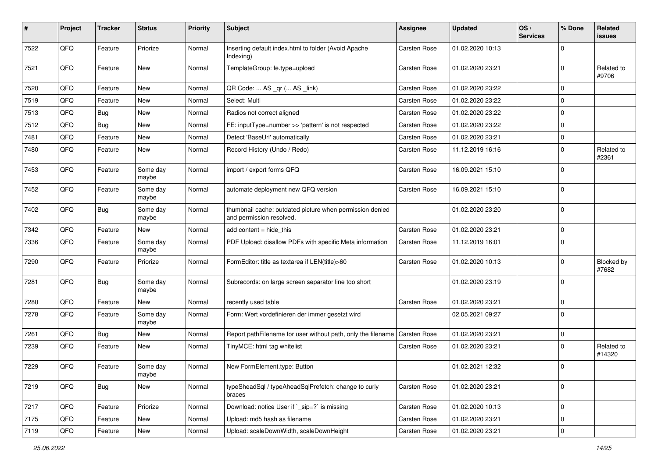| #    | Project | <b>Tracker</b> | <b>Status</b>     | <b>Priority</b> | Subject                                                                              | Assignee            | <b>Updated</b>   | OS/<br><b>Services</b> | % Done      | Related<br>issues    |
|------|---------|----------------|-------------------|-----------------|--------------------------------------------------------------------------------------|---------------------|------------------|------------------------|-------------|----------------------|
| 7522 | QFQ     | Feature        | Priorize          | Normal          | Inserting default index.html to folder (Avoid Apache<br>Indexing)                    | Carsten Rose        | 01.02.2020 10:13 |                        | $\Omega$    |                      |
| 7521 | QFQ     | Feature        | New               | Normal          | TemplateGroup: fe.type=upload                                                        | Carsten Rose        | 01.02.2020 23:21 |                        | $\Omega$    | Related to<br>#9706  |
| 7520 | QFQ     | Feature        | New               | Normal          | QR Code:  AS _qr ( AS _link)                                                         | Carsten Rose        | 01.02.2020 23:22 |                        | 0           |                      |
| 7519 | QFQ     | Feature        | <b>New</b>        | Normal          | Select: Multi                                                                        | Carsten Rose        | 01.02.2020 23:22 |                        | $\Omega$    |                      |
| 7513 | QFQ     | Bug            | <b>New</b>        | Normal          | Radios not correct aligned                                                           | Carsten Rose        | 01.02.2020 23:22 |                        | $\mathbf 0$ |                      |
| 7512 | QFQ     | Bug            | <b>New</b>        | Normal          | FE: inputType=number >> 'pattern' is not respected                                   | Carsten Rose        | 01.02.2020 23:22 |                        | $\Omega$    |                      |
| 7481 | QFQ     | Feature        | <b>New</b>        | Normal          | Detect 'BaseUrl' automatically                                                       | Carsten Rose        | 01.02.2020 23:21 |                        | 0           |                      |
| 7480 | QFQ     | Feature        | New               | Normal          | Record History (Undo / Redo)                                                         | Carsten Rose        | 11.12.2019 16:16 |                        | $\Omega$    | Related to<br>#2361  |
| 7453 | QFQ     | Feature        | Some day<br>maybe | Normal          | import / export forms QFQ                                                            | Carsten Rose        | 16.09.2021 15:10 |                        | $\mathbf 0$ |                      |
| 7452 | QFQ     | Feature        | Some day<br>maybe | Normal          | automate deployment new QFQ version                                                  | Carsten Rose        | 16.09.2021 15:10 |                        | $\mathbf 0$ |                      |
| 7402 | QFQ     | <b>Bug</b>     | Some day<br>maybe | Normal          | thumbnail cache: outdated picture when permission denied<br>and permission resolved. |                     | 01.02.2020 23:20 |                        | 0           |                      |
| 7342 | QFQ     | Feature        | New               | Normal          | add content $=$ hide this                                                            | Carsten Rose        | 01.02.2020 23:21 |                        | $\mathbf 0$ |                      |
| 7336 | QFQ     | Feature        | Some day<br>maybe | Normal          | PDF Upload: disallow PDFs with specific Meta information                             | Carsten Rose        | 11.12.2019 16:01 |                        | $\Omega$    |                      |
| 7290 | QFQ     | Feature        | Priorize          | Normal          | FormEditor: title as textarea if LEN(title)>60                                       | Carsten Rose        | 01.02.2020 10:13 |                        | 0           | Blocked by<br>#7682  |
| 7281 | QFQ     | Bug            | Some day<br>maybe | Normal          | Subrecords: on large screen separator line too short                                 |                     | 01.02.2020 23:19 |                        | $\mathbf 0$ |                      |
| 7280 | QFQ     | Feature        | New               | Normal          | recently used table                                                                  | Carsten Rose        | 01.02.2020 23:21 |                        | $\mathbf 0$ |                      |
| 7278 | QFQ     | Feature        | Some day<br>maybe | Normal          | Form: Wert vordefinieren der immer gesetzt wird                                      |                     | 02.05.2021 09:27 |                        | $\Omega$    |                      |
| 7261 | QFQ     | Bug            | New               | Normal          | Report pathFilename for user without path, only the filename                         | <b>Carsten Rose</b> | 01.02.2020 23:21 |                        | $\mathbf 0$ |                      |
| 7239 | QFQ     | Feature        | New               | Normal          | TinyMCE: html tag whitelist                                                          | Carsten Rose        | 01.02.2020 23:21 |                        | 0           | Related to<br>#14320 |
| 7229 | QFQ     | Feature        | Some day<br>maybe | Normal          | New FormElement.type: Button                                                         |                     | 01.02.2021 12:32 |                        | $\Omega$    |                      |
| 7219 | QFQ     | <b>Bug</b>     | New               | Normal          | typeSheadSql / typeAheadSqlPrefetch: change to curly<br>braces                       | Carsten Rose        | 01.02.2020 23:21 |                        | $\mathbf 0$ |                      |
| 7217 | QFQ     | Feature        | Priorize          | Normal          | Download: notice User if `_sip=?` is missing                                         | Carsten Rose        | 01.02.2020 10:13 |                        | $\mathbf 0$ |                      |
| 7175 | QFQ     | Feature        | New               | Normal          | Upload: md5 hash as filename                                                         | Carsten Rose        | 01.02.2020 23:21 |                        | $\mathbf 0$ |                      |
| 7119 | QFG     | Feature        | New               | Normal          | Upload: scaleDownWidth, scaleDownHeight                                              | Carsten Rose        | 01.02.2020 23:21 |                        | 0           |                      |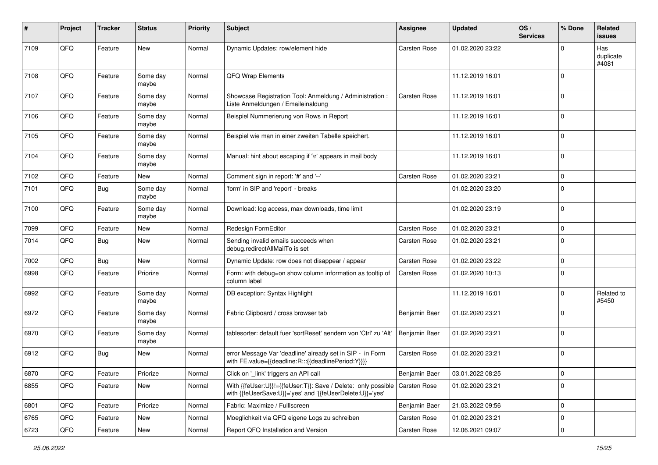| #    | Project | <b>Tracker</b> | <b>Status</b>     | <b>Priority</b> | Subject                                                                                                                    | Assignee            | <b>Updated</b>   | OS/<br><b>Services</b> | % Done       | Related<br>issues         |
|------|---------|----------------|-------------------|-----------------|----------------------------------------------------------------------------------------------------------------------------|---------------------|------------------|------------------------|--------------|---------------------------|
| 7109 | QFQ     | Feature        | <b>New</b>        | Normal          | Dynamic Updates: row/element hide                                                                                          | Carsten Rose        | 01.02.2020 23:22 |                        | <sup>0</sup> | Has<br>duplicate<br>#4081 |
| 7108 | QFQ     | Feature        | Some day<br>maybe | Normal          | QFQ Wrap Elements                                                                                                          |                     | 11.12.2019 16:01 |                        | $\Omega$     |                           |
| 7107 | QFQ     | Feature        | Some day<br>maybe | Normal          | Showcase Registration Tool: Anmeldung / Administration :<br>Liste Anmeldungen / Emaileinaldung                             | Carsten Rose        | 11.12.2019 16:01 |                        | $\Omega$     |                           |
| 7106 | QFQ     | Feature        | Some day<br>maybe | Normal          | Beispiel Nummerierung von Rows in Report                                                                                   |                     | 11.12.2019 16:01 |                        | $\Omega$     |                           |
| 7105 | QFQ     | Feature        | Some day<br>maybe | Normal          | Beispiel wie man in einer zweiten Tabelle speichert.                                                                       |                     | 11.12.2019 16:01 |                        | $\Omega$     |                           |
| 7104 | QFQ     | Feature        | Some day<br>maybe | Normal          | Manual: hint about escaping if '\r' appears in mail body                                                                   |                     | 11.12.2019 16:01 |                        | $\Omega$     |                           |
| 7102 | QFQ     | Feature        | New               | Normal          | Comment sign in report: '#' and '--'                                                                                       | Carsten Rose        | 01.02.2020 23:21 |                        | $\mathbf 0$  |                           |
| 7101 | QFQ     | Bug            | Some day<br>maybe | Normal          | 'form' in SIP and 'report' - breaks                                                                                        |                     | 01.02.2020 23:20 |                        | $\Omega$     |                           |
| 7100 | QFQ     | Feature        | Some day<br>maybe | Normal          | Download: log access, max downloads, time limit                                                                            |                     | 01.02.2020 23:19 |                        | $\Omega$     |                           |
| 7099 | QFQ     | Feature        | <b>New</b>        | Normal          | Redesign FormEditor                                                                                                        | Carsten Rose        | 01.02.2020 23:21 |                        | $\Omega$     |                           |
| 7014 | QFQ     | <b>Bug</b>     | <b>New</b>        | Normal          | Sending invalid emails succeeds when<br>debug.redirectAllMailTo is set                                                     | Carsten Rose        | 01.02.2020 23:21 |                        | $\Omega$     |                           |
| 7002 | QFQ     | Bug            | <b>New</b>        | Normal          | Dynamic Update: row does not disappear / appear                                                                            | Carsten Rose        | 01.02.2020 23:22 |                        | $\Omega$     |                           |
| 6998 | QFQ     | Feature        | Priorize          | Normal          | Form: with debug=on show column information as tooltip of<br>column label                                                  | Carsten Rose        | 01.02.2020 10:13 |                        | $\Omega$     |                           |
| 6992 | QFQ     | Feature        | Some day<br>maybe | Normal          | DB exception: Syntax Highlight                                                                                             |                     | 11.12.2019 16:01 |                        | $\Omega$     | Related to<br>#5450       |
| 6972 | QFQ     | Feature        | Some day<br>maybe | Normal          | Fabric Clipboard / cross browser tab                                                                                       | Benjamin Baer       | 01.02.2020 23:21 |                        | 0            |                           |
| 6970 | QFQ     | Feature        | Some day<br>maybe | Normal          | tablesorter: default fuer 'sortReset' aendern von 'Ctrl' zu 'Alt'                                                          | Benjamin Baer       | 01.02.2020 23:21 |                        | $\Omega$     |                           |
| 6912 | QFQ     | Bug            | New               | Normal          | error Message Var 'deadline' already set in SIP - in Form<br>with FE.value={{deadline:R:::{{deadlinePeriod:Y}}}}           | Carsten Rose        | 01.02.2020 23:21 |                        | $\Omega$     |                           |
| 6870 | QFQ     | Feature        | Priorize          | Normal          | Click on '_link' triggers an API call                                                                                      | Benjamin Baer       | 03.01.2022 08:25 |                        |              |                           |
| 6855 | QFQ     | Feature        | New               | Normal          | With {{feUser:U}}!={{feUser:T}}: Save / Delete: only possible<br>with {{feUserSave:U}}='yes' and '{{feUserDelete:U}}='yes' | <b>Carsten Rose</b> | 01.02.2020 23:21 |                        | $\Omega$     |                           |
| 6801 | QFQ     | Feature        | Priorize          | Normal          | Fabric: Maximize / Fulllscreen                                                                                             | Benjamin Baer       | 21.03.2022 09:56 |                        | 0            |                           |
| 6765 | QFQ     | Feature        | New               | Normal          | Moeglichkeit via QFQ eigene Logs zu schreiben                                                                              | Carsten Rose        | 01.02.2020 23:21 |                        | 0            |                           |
| 6723 | QFQ     | Feature        | New               | Normal          | Report QFQ Installation and Version                                                                                        | Carsten Rose        | 12.06.2021 09:07 |                        | 0            |                           |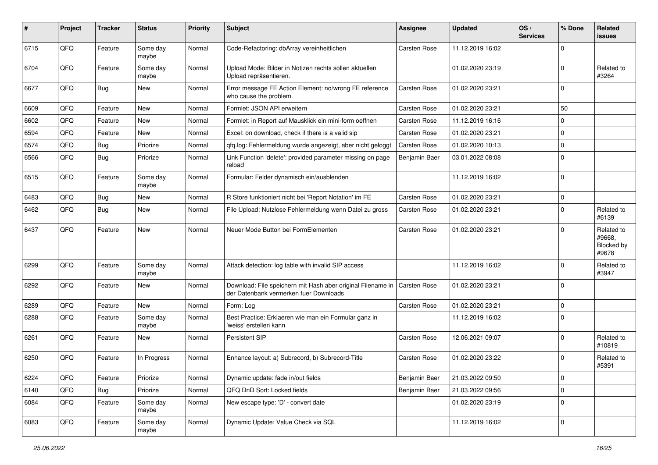| #    | Project | <b>Tracker</b> | <b>Status</b>     | <b>Priority</b> | Subject                                                                                               | <b>Assignee</b>     | <b>Updated</b>   | OS/<br><b>Services</b> | % Done       | <b>Related</b><br>issues                    |
|------|---------|----------------|-------------------|-----------------|-------------------------------------------------------------------------------------------------------|---------------------|------------------|------------------------|--------------|---------------------------------------------|
| 6715 | QFQ     | Feature        | Some day<br>maybe | Normal          | Code-Refactoring: dbArray vereinheitlichen                                                            | Carsten Rose        | 11.12.2019 16:02 |                        | $\Omega$     |                                             |
| 6704 | QFQ     | Feature        | Some day<br>maybe | Normal          | Upload Mode: Bilder in Notizen rechts sollen aktuellen<br>Upload repräsentieren.                      |                     | 01.02.2020 23:19 |                        | $\mathbf{0}$ | Related to<br>#3264                         |
| 6677 | QFQ     | Bug            | New               | Normal          | Error message FE Action Element: no/wrong FE reference<br>who cause the problem.                      | Carsten Rose        | 01.02.2020 23:21 |                        | $\Omega$     |                                             |
| 6609 | QFQ     | Feature        | New               | Normal          | Formlet: JSON API erweitern                                                                           | Carsten Rose        | 01.02.2020 23:21 |                        | 50           |                                             |
| 6602 | QFQ     | Feature        | <b>New</b>        | Normal          | Formlet: in Report auf Mausklick ein mini-form oeffnen                                                | Carsten Rose        | 11.12.2019 16:16 |                        | $\Omega$     |                                             |
| 6594 | QFQ     | Feature        | New               | Normal          | Excel: on download, check if there is a valid sip                                                     | Carsten Rose        | 01.02.2020 23:21 |                        | 0            |                                             |
| 6574 | QFQ     | <b>Bug</b>     | Priorize          | Normal          | qfq.log: Fehlermeldung wurde angezeigt, aber nicht geloggt                                            | Carsten Rose        | 01.02.2020 10:13 |                        | $\Omega$     |                                             |
| 6566 | QFQ     | <b>Bug</b>     | Priorize          | Normal          | Link Function 'delete': provided parameter missing on page<br>reload                                  | Benjamin Baer       | 03.01.2022 08:08 |                        | $\Omega$     |                                             |
| 6515 | QFQ     | Feature        | Some day<br>maybe | Normal          | Formular: Felder dynamisch ein/ausblenden                                                             |                     | 11.12.2019 16:02 |                        | $\Omega$     |                                             |
| 6483 | QFQ     | <b>Bug</b>     | New               | Normal          | R Store funktioniert nicht bei 'Report Notation' im FE                                                | Carsten Rose        | 01.02.2020 23:21 |                        | $\mathbf 0$  |                                             |
| 6462 | QFQ     | Bug            | <b>New</b>        | Normal          | File Upload: Nutzlose Fehlermeldung wenn Datei zu gross                                               | Carsten Rose        | 01.02.2020 23:21 |                        | $\Omega$     | Related to<br>#6139                         |
| 6437 | QFQ     | Feature        | New               | Normal          | Neuer Mode Button bei FormElementen                                                                   | Carsten Rose        | 01.02.2020 23:21 |                        | $\Omega$     | Related to<br>#9668,<br>Blocked by<br>#9678 |
| 6299 | QFQ     | Feature        | Some day<br>maybe | Normal          | Attack detection: log table with invalid SIP access                                                   |                     | 11.12.2019 16:02 |                        | $\Omega$     | Related to<br>#3947                         |
| 6292 | QFQ     | Feature        | <b>New</b>        | Normal          | Download: File speichern mit Hash aber original Filename in<br>der Datenbank vermerken fuer Downloads | <b>Carsten Rose</b> | 01.02.2020 23:21 |                        | $\Omega$     |                                             |
| 6289 | QFQ     | Feature        | <b>New</b>        | Normal          | Form: Log                                                                                             | Carsten Rose        | 01.02.2020 23:21 |                        | $\mathbf 0$  |                                             |
| 6288 | QFQ     | Feature        | Some day<br>maybe | Normal          | Best Practice: Erklaeren wie man ein Formular ganz in<br>weiss' erstellen kann                        |                     | 11.12.2019 16:02 |                        | $\Omega$     |                                             |
| 6261 | QFQ     | Feature        | New               | Normal          | Persistent SIP                                                                                        | Carsten Rose        | 12.06.2021 09:07 |                        | $\Omega$     | Related to<br>#10819                        |
| 6250 | QFQ     | Feature        | In Progress       | Normal          | Enhance layout: a) Subrecord, b) Subrecord-Title                                                      | Carsten Rose        | 01.02.2020 23:22 |                        | $\Omega$     | Related to<br>#5391                         |
| 6224 | QFQ     | Feature        | Priorize          | Normal          | Dynamic update: fade in/out fields                                                                    | Benjamin Baer       | 21.03.2022 09:50 |                        | $\mathbf 0$  |                                             |
| 6140 | QFQ     | <b>Bug</b>     | Priorize          | Normal          | QFQ DnD Sort: Locked fields                                                                           | Benjamin Baer       | 21.03.2022 09:56 |                        | $\mathbf 0$  |                                             |
| 6084 | QFQ     | Feature        | Some day<br>maybe | Normal          | New escape type: 'D' - convert date                                                                   |                     | 01.02.2020 23:19 |                        | $\mathbf 0$  |                                             |
| 6083 | QFQ     | Feature        | Some day<br>maybe | Normal          | Dynamic Update: Value Check via SQL                                                                   |                     | 11.12.2019 16:02 |                        | $\mathbf 0$  |                                             |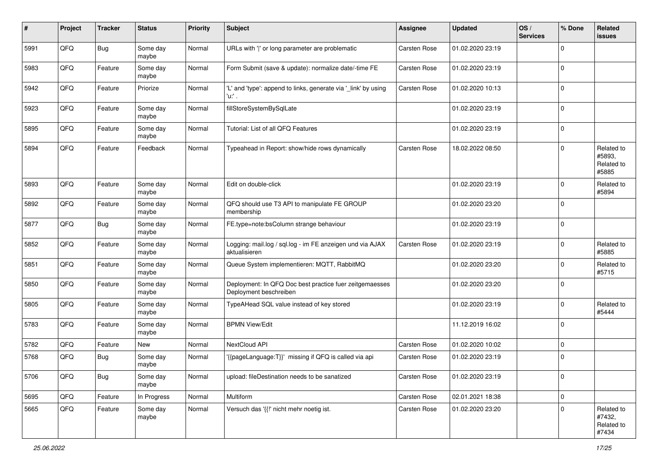| ∦    | Project | <b>Tracker</b> | <b>Status</b>     | <b>Priority</b> | Subject                                                                           | Assignee     | <b>Updated</b>   | OS/<br><b>Services</b> | % Done      | Related<br>issues                           |
|------|---------|----------------|-------------------|-----------------|-----------------------------------------------------------------------------------|--------------|------------------|------------------------|-------------|---------------------------------------------|
| 5991 | QFQ     | Bug            | Some day<br>maybe | Normal          | URLs with ' ' or long parameter are problematic                                   | Carsten Rose | 01.02.2020 23:19 |                        | $\mathbf 0$ |                                             |
| 5983 | QFQ     | Feature        | Some day<br>maybe | Normal          | Form Submit (save & update): normalize date/-time FE                              | Carsten Rose | 01.02.2020 23:19 |                        | $\mathbf 0$ |                                             |
| 5942 | QFQ     | Feature        | Priorize          | Normal          | 'L' and 'type': append to links, generate via '_link' by using<br>'u:' .          | Carsten Rose | 01.02.2020 10:13 |                        | $\Omega$    |                                             |
| 5923 | QFQ     | Feature        | Some day<br>maybe | Normal          | fillStoreSystemBySqlLate                                                          |              | 01.02.2020 23:19 |                        | $\mathbf 0$ |                                             |
| 5895 | QFQ     | Feature        | Some day<br>maybe | Normal          | Tutorial: List of all QFQ Features                                                |              | 01.02.2020 23:19 |                        | $\mathbf 0$ |                                             |
| 5894 | QFQ     | Feature        | Feedback          | Normal          | Typeahead in Report: show/hide rows dynamically                                   | Carsten Rose | 18.02.2022 08:50 |                        | $\Omega$    | Related to<br>#5893,<br>Related to<br>#5885 |
| 5893 | QFQ     | Feature        | Some day<br>maybe | Normal          | Edit on double-click                                                              |              | 01.02.2020 23:19 |                        | $\Omega$    | Related to<br>#5894                         |
| 5892 | QFQ     | Feature        | Some day<br>maybe | Normal          | QFQ should use T3 API to manipulate FE GROUP<br>membership                        |              | 01.02.2020 23:20 |                        | $\Omega$    |                                             |
| 5877 | QFQ     | Bug            | Some day<br>maybe | Normal          | FE.type=note:bsColumn strange behaviour                                           |              | 01.02.2020 23:19 |                        | $\Omega$    |                                             |
| 5852 | QFQ     | Feature        | Some day<br>maybe | Normal          | Logging: mail.log / sql.log - im FE anzeigen und via AJAX<br>aktualisieren        | Carsten Rose | 01.02.2020 23:19 |                        | $\Omega$    | Related to<br>#5885                         |
| 5851 | QFQ     | Feature        | Some day<br>maybe | Normal          | Queue System implementieren: MQTT, RabbitMQ                                       |              | 01.02.2020 23:20 |                        | $\Omega$    | Related to<br>#5715                         |
| 5850 | QFQ     | Feature        | Some day<br>maybe | Normal          | Deployment: In QFQ Doc best practice fuer zeitgemaesses<br>Deployment beschreiben |              | 01.02.2020 23:20 |                        | $\Omega$    |                                             |
| 5805 | QFQ     | Feature        | Some day<br>maybe | Normal          | TypeAHead SQL value instead of key stored                                         |              | 01.02.2020 23:19 |                        | $\Omega$    | Related to<br>#5444                         |
| 5783 | QFQ     | Feature        | Some day<br>maybe | Normal          | <b>BPMN View/Edit</b>                                                             |              | 11.12.2019 16:02 |                        | $\Omega$    |                                             |
| 5782 | QFQ     | Feature        | New               | Normal          | NextCloud API                                                                     | Carsten Rose | 01.02.2020 10:02 |                        | $\mathbf 0$ |                                             |
| 5768 | QFQ     | Bug            | Some day<br>maybe | Normal          | '{{pageLanguage:T}}' missing if QFQ is called via api                             | Carsten Rose | 01.02.2020 23:19 |                        | $\Omega$    |                                             |
| 5706 | QFQ     | <b>Bug</b>     | Some day<br>maybe | Normal          | upload: fileDestination needs to be sanatized                                     | Carsten Rose | 01.02.2020 23:19 |                        | 0           |                                             |
| 5695 | QFQ     | Feature        | In Progress       | Normal          | Multiform                                                                         | Carsten Rose | 02.01.2021 18:38 |                        | $\mathbf 0$ |                                             |
| 5665 | QFQ     | Feature        | Some day<br>maybe | Normal          | Versuch das '{{!' nicht mehr noetig ist.                                          | Carsten Rose | 01.02.2020 23:20 |                        | $\mathbf 0$ | Related to<br>#7432,<br>Related to<br>#7434 |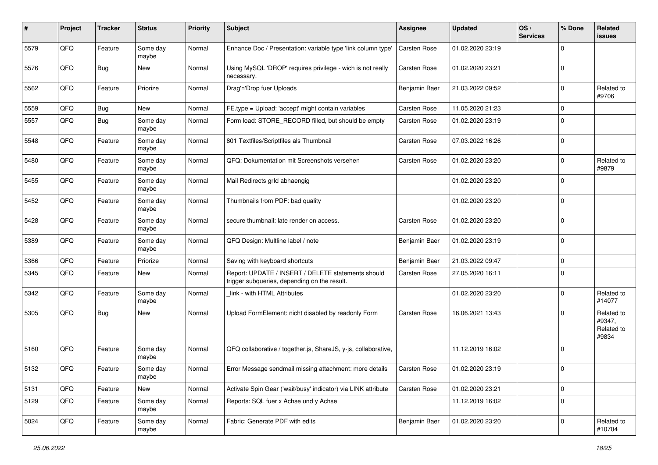| #    | Project | <b>Tracker</b> | <b>Status</b>     | <b>Priority</b> | Subject                                                                                            | Assignee            | <b>Updated</b>   | OS/<br><b>Services</b> | % Done         | Related<br>issues                           |
|------|---------|----------------|-------------------|-----------------|----------------------------------------------------------------------------------------------------|---------------------|------------------|------------------------|----------------|---------------------------------------------|
| 5579 | QFQ     | Feature        | Some day<br>maybe | Normal          | Enhance Doc / Presentation: variable type 'link column type'                                       | Carsten Rose        | 01.02.2020 23:19 |                        | $\Omega$       |                                             |
| 5576 | QFQ     | Bug            | New               | Normal          | Using MySQL 'DROP' requires privilege - wich is not really<br>necessary.                           | Carsten Rose        | 01.02.2020 23:21 |                        | 0              |                                             |
| 5562 | QFQ     | Feature        | Priorize          | Normal          | Drag'n'Drop fuer Uploads                                                                           | Benjamin Baer       | 21.03.2022 09:52 |                        | 0              | Related to<br>#9706                         |
| 5559 | QFQ     | Bug            | New               | Normal          | FE.type = Upload: 'accept' might contain variables                                                 | Carsten Rose        | 11.05.2020 21:23 |                        | 0              |                                             |
| 5557 | QFQ     | <b>Bug</b>     | Some day<br>maybe | Normal          | Form load: STORE_RECORD filled, but should be empty                                                | Carsten Rose        | 01.02.2020 23:19 |                        | $\Omega$       |                                             |
| 5548 | QFQ     | Feature        | Some day<br>maybe | Normal          | 801 Textfiles/Scriptfiles als Thumbnail                                                            | Carsten Rose        | 07.03.2022 16:26 |                        | $\Omega$       |                                             |
| 5480 | QFQ     | Feature        | Some day<br>maybe | Normal          | QFQ: Dokumentation mit Screenshots versehen                                                        | Carsten Rose        | 01.02.2020 23:20 |                        | 0              | Related to<br>#9879                         |
| 5455 | QFQ     | Feature        | Some day<br>maybe | Normal          | Mail Redirects grld abhaengig                                                                      |                     | 01.02.2020 23:20 |                        | 0              |                                             |
| 5452 | QFQ     | Feature        | Some day<br>maybe | Normal          | Thumbnails from PDF: bad quality                                                                   |                     | 01.02.2020 23:20 |                        | $\Omega$       |                                             |
| 5428 | QFQ     | Feature        | Some day<br>maybe | Normal          | secure thumbnail: late render on access.                                                           | Carsten Rose        | 01.02.2020 23:20 |                        | $\Omega$       |                                             |
| 5389 | QFQ     | Feature        | Some day<br>maybe | Normal          | QFQ Design: Multline label / note                                                                  | Benjamin Baer       | 01.02.2020 23:19 |                        | $\mathbf 0$    |                                             |
| 5366 | QFQ     | Feature        | Priorize          | Normal          | Saving with keyboard shortcuts                                                                     | Benjamin Baer       | 21.03.2022 09:47 |                        | $\Omega$       |                                             |
| 5345 | QFQ     | Feature        | New               | Normal          | Report: UPDATE / INSERT / DELETE statements should<br>trigger subqueries, depending on the result. | Carsten Rose        | 27.05.2020 16:11 |                        | $\mathbf 0$    |                                             |
| 5342 | QFQ     | Feature        | Some day<br>maybe | Normal          | link - with HTML Attributes                                                                        |                     | 01.02.2020 23:20 |                        | $\Omega$       | Related to<br>#14077                        |
| 5305 | QFQ     | <b>Bug</b>     | New               | Normal          | Upload FormElement: nicht disabled by readonly Form                                                | Carsten Rose        | 16.06.2021 13:43 |                        | 0              | Related to<br>#9347,<br>Related to<br>#9834 |
| 5160 | QFQ     | Feature        | Some day<br>maybe | Normal          | QFQ collaborative / together.js, ShareJS, y-js, collaborative,                                     |                     | 11.12.2019 16:02 |                        | 0              |                                             |
| 5132 | QFQ     | Feature        | Some day<br>maybe | Normal          | Error Message sendmail missing attachment: more details                                            | <b>Carsten Rose</b> | 01.02.2020 23:19 |                        | $\overline{0}$ |                                             |
| 5131 | QFQ     | Feature        | New               | Normal          | Activate Spin Gear ('wait/busy' indicator) via LINK attribute                                      | Carsten Rose        | 01.02.2020 23:21 |                        | $\mathbf 0$    |                                             |
| 5129 | QFQ     | Feature        | Some day<br>maybe | Normal          | Reports: SQL fuer x Achse und y Achse                                                              |                     | 11.12.2019 16:02 |                        | 0              |                                             |
| 5024 | QFQ     | Feature        | Some day<br>maybe | Normal          | Fabric: Generate PDF with edits                                                                    | Benjamin Baer       | 01.02.2020 23:20 |                        | 0              | Related to<br>#10704                        |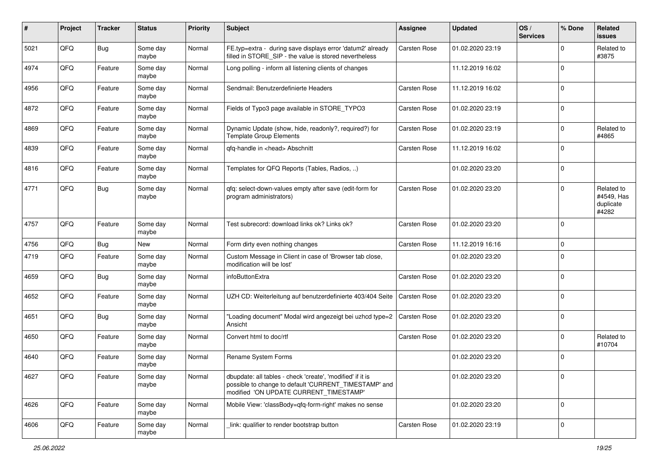| #    | Project | <b>Tracker</b> | <b>Status</b>     | <b>Priority</b> | Subject                                                                                                                                                       | Assignee            | <b>Updated</b>   | OS/<br><b>Services</b> | % Done       | Related<br>issues                              |
|------|---------|----------------|-------------------|-----------------|---------------------------------------------------------------------------------------------------------------------------------------------------------------|---------------------|------------------|------------------------|--------------|------------------------------------------------|
| 5021 | QFQ     | <b>Bug</b>     | Some day<br>maybe | Normal          | FE.typ=extra - during save displays error 'datum2' already<br>filled in STORE_SIP - the value is stored nevertheless                                          | Carsten Rose        | 01.02.2020 23:19 |                        | <sup>0</sup> | Related to<br>#3875                            |
| 4974 | QFQ     | Feature        | Some day<br>maybe | Normal          | Long polling - inform all listening clients of changes                                                                                                        |                     | 11.12.2019 16:02 |                        | $\Omega$     |                                                |
| 4956 | QFQ     | Feature        | Some day<br>maybe | Normal          | Sendmail: Benutzerdefinierte Headers                                                                                                                          | Carsten Rose        | 11.12.2019 16:02 |                        | $\Omega$     |                                                |
| 4872 | QFQ     | Feature        | Some day<br>maybe | Normal          | Fields of Typo3 page available in STORE_TYPO3                                                                                                                 | Carsten Rose        | 01.02.2020 23:19 |                        | $\Omega$     |                                                |
| 4869 | QFQ     | Feature        | Some day<br>maybe | Normal          | Dynamic Update (show, hide, readonly?, required?) for<br><b>Template Group Elements</b>                                                                       | Carsten Rose        | 01.02.2020 23:19 |                        | $\Omega$     | Related to<br>#4865                            |
| 4839 | QFQ     | Feature        | Some day<br>maybe | Normal          | qfq-handle in <head> Abschnitt</head>                                                                                                                         | Carsten Rose        | 11.12.2019 16:02 |                        | $\Omega$     |                                                |
| 4816 | QFQ     | Feature        | Some day<br>maybe | Normal          | Templates for QFQ Reports (Tables, Radios, )                                                                                                                  |                     | 01.02.2020 23:20 |                        | $\Omega$     |                                                |
| 4771 | QFQ     | Bug            | Some day<br>maybe | Normal          | qfq: select-down-values empty after save (edit-form for<br>program administrators)                                                                            | Carsten Rose        | 01.02.2020 23:20 |                        | $\Omega$     | Related to<br>#4549, Has<br>duplicate<br>#4282 |
| 4757 | QFQ     | Feature        | Some day<br>maybe | Normal          | Test subrecord: download links ok? Links ok?                                                                                                                  | Carsten Rose        | 01.02.2020 23:20 |                        | $\Omega$     |                                                |
| 4756 | QFQ     | <b>Bug</b>     | <b>New</b>        | Normal          | Form dirty even nothing changes                                                                                                                               | Carsten Rose        | 11.12.2019 16:16 |                        | $\mathbf 0$  |                                                |
| 4719 | QFQ     | Feature        | Some day<br>maybe | Normal          | Custom Message in Client in case of 'Browser tab close,<br>modification will be lost'                                                                         |                     | 01.02.2020 23:20 |                        | $\Omega$     |                                                |
| 4659 | QFQ     | Bug            | Some day<br>maybe | Normal          | infoButtonExtra                                                                                                                                               | Carsten Rose        | 01.02.2020 23:20 |                        | $\mathbf 0$  |                                                |
| 4652 | QFQ     | Feature        | Some day<br>maybe | Normal          | UZH CD: Weiterleitung auf benutzerdefinierte 403/404 Seite                                                                                                    | <b>Carsten Rose</b> | 01.02.2020 23:20 |                        | $\Omega$     |                                                |
| 4651 | QFQ     | <b>Bug</b>     | Some day<br>maybe | Normal          | "Loading document" Modal wird angezeigt bei uzhcd type=2<br>Ansicht                                                                                           | <b>Carsten Rose</b> | 01.02.2020 23:20 |                        | $\Omega$     |                                                |
| 4650 | QFQ     | Feature        | Some day<br>maybe | Normal          | Convert html to doc/rtf                                                                                                                                       | Carsten Rose        | 01.02.2020 23:20 |                        | $\Omega$     | Related to<br>#10704                           |
| 4640 | QFQ     | Feature        | Some day<br>maybe | Normal          | Rename System Forms                                                                                                                                           |                     | 01.02.2020 23:20 |                        | 0            |                                                |
| 4627 | QFQ     | Feature        | Some day<br>maybe | Normal          | dbupdate: all tables - check 'create', 'modified' if it is<br>possible to change to default 'CURRENT_TIMESTAMP' and<br>modified 'ON UPDATE CURRENT TIMESTAMP' |                     | 01.02.2020 23:20 |                        | 0            |                                                |
| 4626 | QFQ     | Feature        | Some day<br>maybe | Normal          | Mobile View: 'classBody=qfq-form-right' makes no sense                                                                                                        |                     | 01.02.2020 23:20 |                        | $\Omega$     |                                                |
| 4606 | QFQ     | Feature        | Some day<br>maybe | Normal          | link: qualifier to render bootstrap button                                                                                                                    | Carsten Rose        | 01.02.2020 23:19 |                        | $\mathbf 0$  |                                                |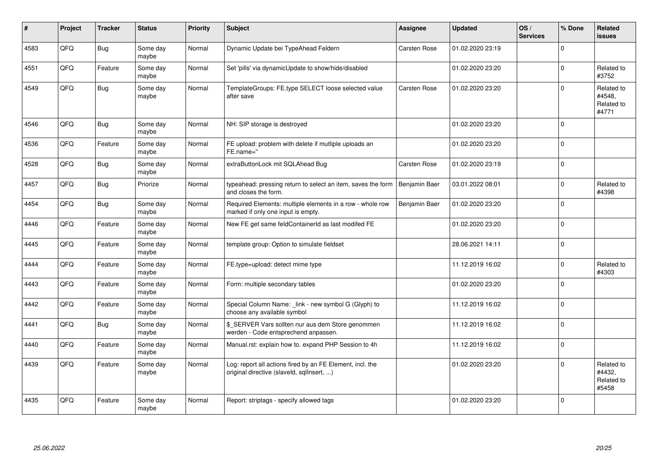| ∦    | Project | <b>Tracker</b> | <b>Status</b>     | <b>Priority</b> | Subject                                                                                                | Assignee            | <b>Updated</b>   | OS/<br><b>Services</b> | % Done      | Related<br><b>issues</b>                    |
|------|---------|----------------|-------------------|-----------------|--------------------------------------------------------------------------------------------------------|---------------------|------------------|------------------------|-------------|---------------------------------------------|
| 4583 | QFQ     | <b>Bug</b>     | Some day<br>maybe | Normal          | Dynamic Update bei TypeAhead Feldern                                                                   | Carsten Rose        | 01.02.2020 23:19 |                        | $\Omega$    |                                             |
| 4551 | QFQ     | Feature        | Some day<br>maybe | Normal          | Set 'pills' via dynamicUpdate to show/hide/disabled                                                    |                     | 01.02.2020 23:20 |                        | $\Omega$    | Related to<br>#3752                         |
| 4549 | QFQ     | Bug            | Some day<br>maybe | Normal          | TemplateGroups: FE.type SELECT loose selected value<br>after save                                      | <b>Carsten Rose</b> | 01.02.2020 23:20 |                        | $\Omega$    | Related to<br>#4548.<br>Related to<br>#4771 |
| 4546 | QFQ     | Bug            | Some day<br>maybe | Normal          | NH: SIP storage is destroyed                                                                           |                     | 01.02.2020 23:20 |                        | $\Omega$    |                                             |
| 4536 | QFQ     | Feature        | Some day<br>maybe | Normal          | FE upload: problem with delete if mutliple uploads an<br>FE.name="                                     |                     | 01.02.2020 23:20 |                        | $\mathbf 0$ |                                             |
| 4528 | QFQ     | <b>Bug</b>     | Some day<br>maybe | Normal          | extraButtonLock mit SQLAhead Bug                                                                       | Carsten Rose        | 01.02.2020 23:19 |                        | $\Omega$    |                                             |
| 4457 | QFQ     | Bug            | Priorize          | Normal          | typeahead: pressing return to select an item, saves the form<br>and closes the form.                   | Benjamin Baer       | 03.01.2022 08:01 |                        | $\Omega$    | Related to<br>#4398                         |
| 4454 | QFQ     | <b>Bug</b>     | Some day<br>maybe | Normal          | Required Elements: multiple elements in a row - whole row<br>marked if only one input is empty.        | Benjamin Baer       | 01.02.2020 23:20 |                        | $\Omega$    |                                             |
| 4446 | QFQ     | Feature        | Some day<br>maybe | Normal          | New FE get same feldContainerId as last modifed FE                                                     |                     | 01.02.2020 23:20 |                        | $\mathbf 0$ |                                             |
| 4445 | QFQ     | Feature        | Some day<br>maybe | Normal          | template group: Option to simulate fieldset                                                            |                     | 28.06.2021 14:11 |                        | $\mathbf 0$ |                                             |
| 4444 | QFQ     | Feature        | Some day<br>maybe | Normal          | FE.type=upload: detect mime type                                                                       |                     | 11.12.2019 16:02 |                        | $\Omega$    | Related to<br>#4303                         |
| 4443 | QFQ     | Feature        | Some day<br>maybe | Normal          | Form: multiple secondary tables                                                                        |                     | 01.02.2020 23:20 |                        | $\Omega$    |                                             |
| 4442 | QFQ     | Feature        | Some day<br>maybe | Normal          | Special Column Name: _link - new symbol G (Glyph) to<br>choose any available symbol                    |                     | 11.12.2019 16:02 |                        | 0           |                                             |
| 4441 | QFQ     | Bug            | Some day<br>maybe | Normal          | \$_SERVER Vars sollten nur aus dem Store genommen<br>werden - Code entsprechend anpassen.              |                     | 11.12.2019 16:02 |                        | $\mathbf 0$ |                                             |
| 4440 | QFQ     | Feature        | Some day<br>maybe | Normal          | Manual.rst: explain how to. expand PHP Session to 4h                                                   |                     | 11.12.2019 16:02 |                        | 0           |                                             |
| 4439 | QFQ     | Feature        | Some day<br>maybe | Normal          | Log: report all actions fired by an FE Element, incl. the<br>original directive (slaveld, sqlInsert, ) |                     | 01.02.2020 23:20 |                        | $\Omega$    | Related to<br>#4432,<br>Related to<br>#5458 |
| 4435 | QFQ     | Feature        | Some day<br>maybe | Normal          | Report: striptags - specify allowed tags                                                               |                     | 01.02.2020 23:20 |                        | $\Omega$    |                                             |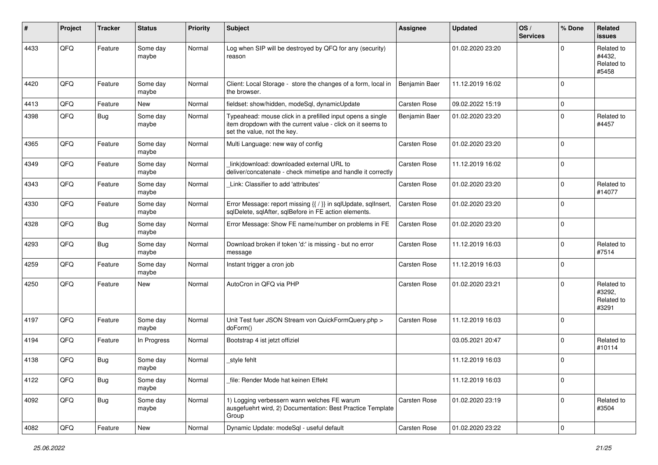| #    | Project | <b>Tracker</b> | <b>Status</b>     | <b>Priority</b> | <b>Subject</b>                                                                                                                                           | <b>Assignee</b> | <b>Updated</b>   | OS/<br><b>Services</b> | % Done              | Related<br><b>issues</b>                    |
|------|---------|----------------|-------------------|-----------------|----------------------------------------------------------------------------------------------------------------------------------------------------------|-----------------|------------------|------------------------|---------------------|---------------------------------------------|
| 4433 | QFQ     | Feature        | Some day<br>maybe | Normal          | Log when SIP will be destroyed by QFQ for any (security)<br>reason                                                                                       |                 | 01.02.2020 23:20 |                        | $\Omega$            | Related to<br>#4432.<br>Related to<br>#5458 |
| 4420 | QFQ     | Feature        | Some day<br>maybe | Normal          | Client: Local Storage - store the changes of a form, local in<br>the browser.                                                                            | Benjamin Baer   | 11.12.2019 16:02 |                        | $\mathbf 0$         |                                             |
| 4413 | QFQ     | Feature        | <b>New</b>        | Normal          | fieldset: show/hidden, modeSql, dynamicUpdate                                                                                                            | Carsten Rose    | 09.02.2022 15:19 |                        | $\mathsf{O}\xspace$ |                                             |
| 4398 | QFQ     | Bug            | Some day<br>maybe | Normal          | Typeahead: mouse click in a prefilled input opens a single<br>item dropdown with the current value - click on it seems to<br>set the value, not the key. | Benjamin Baer   | 01.02.2020 23:20 |                        | $\mathbf 0$         | Related to<br>#4457                         |
| 4365 | QFQ     | Feature        | Some day<br>maybe | Normal          | Multi Language: new way of config                                                                                                                        | Carsten Rose    | 01.02.2020 23:20 |                        | $\mathbf 0$         |                                             |
| 4349 | QFQ     | Feature        | Some day<br>maybe | Normal          | link download: downloaded external URL to<br>deliver/concatenate - check mimetipe and handle it correctly                                                | Carsten Rose    | 11.12.2019 16:02 |                        | $\mathbf 0$         |                                             |
| 4343 | QFQ     | Feature        | Some day<br>maybe | Normal          | Link: Classifier to add 'attributes'                                                                                                                     | Carsten Rose    | 01.02.2020 23:20 |                        | $\mathbf 0$         | Related to<br>#14077                        |
| 4330 | QFQ     | Feature        | Some day<br>maybe | Normal          | Error Message: report missing {{ / }} in sqlUpdate, sqlInsert,<br>sqlDelete, sqlAfter, sqlBefore in FE action elements.                                  | Carsten Rose    | 01.02.2020 23:20 |                        | $\mathbf 0$         |                                             |
| 4328 | QFQ     | <b>Bug</b>     | Some day<br>maybe | Normal          | Error Message: Show FE name/number on problems in FE                                                                                                     | Carsten Rose    | 01.02.2020 23:20 |                        | $\mathbf 0$         |                                             |
| 4293 | QFQ     | Bug            | Some day<br>maybe | Normal          | Download broken if token 'd:' is missing - but no error<br>message                                                                                       | Carsten Rose    | 11.12.2019 16:03 |                        | $\mathbf 0$         | Related to<br>#7514                         |
| 4259 | QFQ     | Feature        | Some day<br>maybe | Normal          | Instant trigger a cron job                                                                                                                               | Carsten Rose    | 11.12.2019 16:03 |                        | $\mathbf 0$         |                                             |
| 4250 | QFQ     | Feature        | <b>New</b>        | Normal          | AutoCron in QFQ via PHP                                                                                                                                  | Carsten Rose    | 01.02.2020 23:21 |                        | $\mathbf 0$         | Related to<br>#3292,<br>Related to<br>#3291 |
| 4197 | QFQ     | Feature        | Some day<br>maybe | Normal          | Unit Test fuer JSON Stream von QuickFormQuery.php ><br>doForm()                                                                                          | Carsten Rose    | 11.12.2019 16:03 |                        | $\mathbf 0$         |                                             |
| 4194 | QFQ     | Feature        | In Progress       | Normal          | Bootstrap 4 ist jetzt offiziel                                                                                                                           |                 | 03.05.2021 20:47 |                        | $\mathbf 0$         | Related to<br>#10114                        |
| 4138 | QFQ     | <b>Bug</b>     | Some day<br>maybe | Normal          | _style fehlt                                                                                                                                             |                 | 11.12.2019 16:03 |                        | $\mathbf 0$         |                                             |
| 4122 | QFQ     | <b>Bug</b>     | Some day<br>maybe | Normal          | file: Render Mode hat keinen Effekt                                                                                                                      |                 | 11.12.2019 16:03 |                        | $\mathbf 0$         |                                             |
| 4092 | QFG     | <b>Bug</b>     | Some day<br>maybe | Normal          | 1) Logging verbessern wann welches FE warum<br>ausgefuehrt wird, 2) Documentation: Best Practice Template<br>Group                                       | Carsten Rose    | 01.02.2020 23:19 |                        | $\mathbf 0$         | Related to<br>#3504                         |
| 4082 | QFQ     | Feature        | New               | Normal          | Dynamic Update: modeSql - useful default                                                                                                                 | Carsten Rose    | 01.02.2020 23:22 |                        | $\mathsf 0$         |                                             |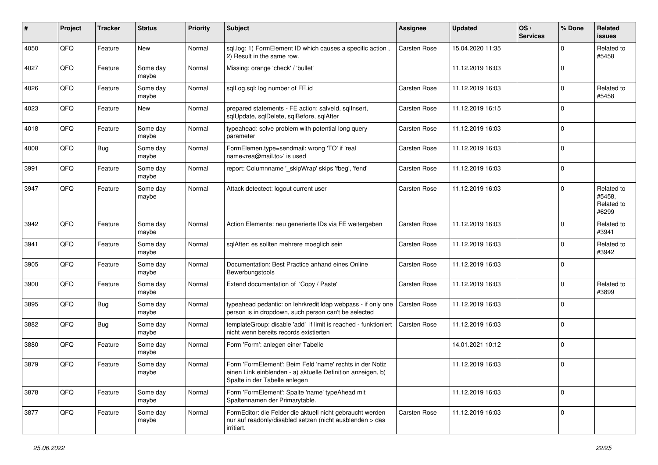| $\#$ | Project | <b>Tracker</b> | <b>Status</b>     | <b>Priority</b> | Subject                                                                                                                                                  | Assignee            | <b>Updated</b>   | OS/<br><b>Services</b> | % Done       | Related<br>issues                           |
|------|---------|----------------|-------------------|-----------------|----------------------------------------------------------------------------------------------------------------------------------------------------------|---------------------|------------------|------------------------|--------------|---------------------------------------------|
| 4050 | QFQ     | Feature        | <b>New</b>        | Normal          | sql.log: 1) FormElement ID which causes a specific action<br>2) Result in the same row.                                                                  | Carsten Rose        | 15.04.2020 11:35 |                        | <sup>0</sup> | Related to<br>#5458                         |
| 4027 | QFQ     | Feature        | Some day<br>maybe | Normal          | Missing: orange 'check' / 'bullet'                                                                                                                       |                     | 11.12.2019 16:03 |                        | $\Omega$     |                                             |
| 4026 | QFQ     | Feature        | Some day<br>maybe | Normal          | sqlLog.sql: log number of FE.id                                                                                                                          | Carsten Rose        | 11.12.2019 16:03 |                        | <sup>0</sup> | Related to<br>#5458                         |
| 4023 | QFQ     | Feature        | <b>New</b>        | Normal          | prepared statements - FE action: salveld, sqlInsert,<br>sqlUpdate, sqlDelete, sqlBefore, sqlAfter                                                        | Carsten Rose        | 11.12.2019 16:15 |                        | 0            |                                             |
| 4018 | QFQ     | Feature        | Some day<br>maybe | Normal          | typeahead: solve problem with potential long query<br>parameter                                                                                          | Carsten Rose        | 11.12.2019 16:03 |                        | $\mathbf 0$  |                                             |
| 4008 | QFQ     | <b>Bug</b>     | Some day<br>maybe | Normal          | FormElemen.type=sendmail: wrong 'TO' if 'real<br>name <rea@mail.to>' is used</rea@mail.to>                                                               | Carsten Rose        | 11.12.2019 16:03 |                        | $\Omega$     |                                             |
| 3991 | QFQ     | Feature        | Some day<br>maybe | Normal          | report: Columnname '_skipWrap' skips 'fbeg', 'fend'                                                                                                      | Carsten Rose        | 11.12.2019 16:03 |                        | $\Omega$     |                                             |
| 3947 | QFQ     | Feature        | Some day<br>maybe | Normal          | Attack detectect: logout current user                                                                                                                    | Carsten Rose        | 11.12.2019 16:03 |                        | $\Omega$     | Related to<br>#5458.<br>Related to<br>#6299 |
| 3942 | QFQ     | Feature        | Some day<br>maybe | Normal          | Action Elemente: neu generierte IDs via FE weitergeben                                                                                                   | Carsten Rose        | 11.12.2019 16:03 |                        | 0            | Related to<br>#3941                         |
| 3941 | QFQ     | Feature        | Some day<br>maybe | Normal          | sqlAfter: es sollten mehrere moeglich sein                                                                                                               | Carsten Rose        | 11.12.2019 16:03 |                        | $\Omega$     | Related to<br>#3942                         |
| 3905 | QFQ     | Feature        | Some day<br>maybe | Normal          | Documentation: Best Practice anhand eines Online<br>Bewerbungstools                                                                                      | Carsten Rose        | 11.12.2019 16:03 |                        | 0            |                                             |
| 3900 | QFQ     | Feature        | Some day<br>maybe | Normal          | Extend documentation of 'Copy / Paste'                                                                                                                   | Carsten Rose        | 11.12.2019 16:03 |                        | $\Omega$     | Related to<br>#3899                         |
| 3895 | QFQ     | Bug            | Some day<br>maybe | Normal          | typeahead pedantic: on lehrkredit Idap webpass - if only one<br>person is in dropdown, such person can't be selected                                     | <b>Carsten Rose</b> | 11.12.2019 16:03 |                        | $\Omega$     |                                             |
| 3882 | QFQ     | <b>Bug</b>     | Some day<br>maybe | Normal          | templateGroup: disable 'add' if limit is reached - funktioniert<br>nicht wenn bereits records existierten                                                | Carsten Rose        | 11.12.2019 16:03 |                        | $\Omega$     |                                             |
| 3880 | QFQ     | Feature        | Some day<br>maybe | Normal          | Form 'Form': anlegen einer Tabelle                                                                                                                       |                     | 14.01.2021 10:12 |                        | $\Omega$     |                                             |
| 3879 | QFQ     | Feature        | Some day<br>maybe | Normal          | Form 'FormElement': Beim Feld 'name' rechts in der Notiz<br>einen Link einblenden - a) aktuelle Definition anzeigen, b)<br>Spalte in der Tabelle anlegen |                     | 11.12.2019 16:03 |                        | $\Omega$     |                                             |
| 3878 | QFQ     | Feature        | Some day<br>maybe | Normal          | Form 'FormElement': Spalte 'name' typeAhead mit<br>Spaltennamen der Primarytable.                                                                        |                     | 11.12.2019 16:03 |                        | $\mathbf 0$  |                                             |
| 3877 | QFQ     | Feature        | Some day<br>maybe | Normal          | FormEditor: die Felder die aktuell nicht gebraucht werden<br>nur auf readonly/disabled setzen (nicht ausblenden > das<br>irritiert.                      | Carsten Rose        | 11.12.2019 16:03 |                        | $\mathbf 0$  |                                             |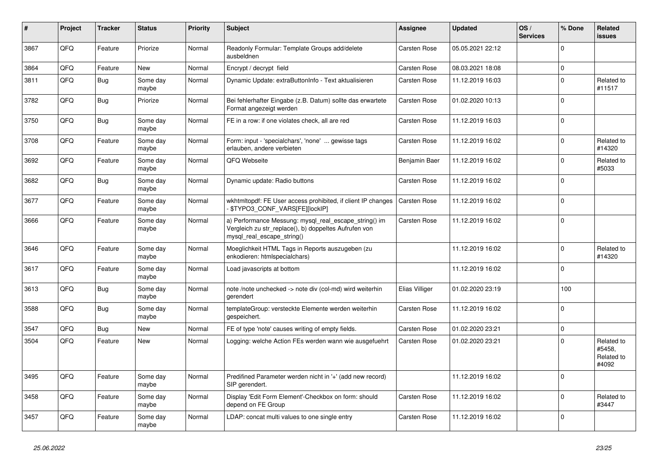| #    | Project | <b>Tracker</b> | <b>Status</b>     | <b>Priority</b> | <b>Subject</b>                                                                                                                               | Assignee            | <b>Updated</b>   | OS/<br><b>Services</b> | % Done       | Related<br><b>issues</b>                    |
|------|---------|----------------|-------------------|-----------------|----------------------------------------------------------------------------------------------------------------------------------------------|---------------------|------------------|------------------------|--------------|---------------------------------------------|
| 3867 | QFQ     | Feature        | Priorize          | Normal          | Readonly Formular: Template Groups add/delete<br>ausbeldnen                                                                                  | Carsten Rose        | 05.05.2021 22:12 |                        | $\Omega$     |                                             |
| 3864 | QFQ     | Feature        | <b>New</b>        | Normal          | Encrypt / decrypt field                                                                                                                      | <b>Carsten Rose</b> | 08.03.2021 18:08 |                        | $\mathbf 0$  |                                             |
| 3811 | QFQ     | Bug            | Some day<br>maybe | Normal          | Dynamic Update: extraButtonInfo - Text aktualisieren                                                                                         | Carsten Rose        | 11.12.2019 16:03 |                        | $\mathbf 0$  | Related to<br>#11517                        |
| 3782 | QFQ     | <b>Bug</b>     | Priorize          | Normal          | Bei fehlerhafter Eingabe (z.B. Datum) sollte das erwartete<br>Format angezeigt werden                                                        | Carsten Rose        | 01.02.2020 10:13 |                        | $\Omega$     |                                             |
| 3750 | QFQ     | Bug            | Some day<br>maybe | Normal          | FE in a row: if one violates check, all are red                                                                                              | Carsten Rose        | 11.12.2019 16:03 |                        | $\Omega$     |                                             |
| 3708 | QFQ     | Feature        | Some day<br>maybe | Normal          | Form: input - 'specialchars', 'none'  gewisse tags<br>erlauben, andere verbieten                                                             | <b>Carsten Rose</b> | 11.12.2019 16:02 |                        | $\Omega$     | Related to<br>#14320                        |
| 3692 | QFQ     | Feature        | Some day<br>maybe | Normal          | QFQ Webseite                                                                                                                                 | Benjamin Baer       | 11.12.2019 16:02 |                        | $\Omega$     | Related to<br>#5033                         |
| 3682 | QFQ     | <b>Bug</b>     | Some day<br>maybe | Normal          | Dynamic update: Radio buttons                                                                                                                | <b>Carsten Rose</b> | 11.12.2019 16:02 |                        | $\Omega$     |                                             |
| 3677 | QFQ     | Feature        | Some day<br>maybe | Normal          | wkhtmltopdf: FE User access prohibited, if client IP changes<br><b>\$TYPO3 CONF VARS[FE][lockIP]</b>                                         | <b>Carsten Rose</b> | 11.12.2019 16:02 |                        | $\Omega$     |                                             |
| 3666 | QFQ     | Feature        | Some day<br>maybe | Normal          | a) Performance Messung: mysql_real_escape_string() im<br>Vergleich zu str_replace(), b) doppeltes Aufrufen von<br>mysql_real_escape_string() | <b>Carsten Rose</b> | 11.12.2019 16:02 |                        | $\mathbf 0$  |                                             |
| 3646 | QFQ     | Feature        | Some day<br>maybe | Normal          | Moeglichkeit HTML Tags in Reports auszugeben (zu<br>enkodieren: htmlspecialchars)                                                            |                     | 11.12.2019 16:02 |                        | $\Omega$     | Related to<br>#14320                        |
| 3617 | QFQ     | Feature        | Some day<br>maybe | Normal          | Load javascripts at bottom                                                                                                                   |                     | 11.12.2019 16:02 |                        | $\Omega$     |                                             |
| 3613 | QFQ     | <b>Bug</b>     | Some day<br>maybe | Normal          | note /note unchecked -> note div (col-md) wird weiterhin<br>gerendert                                                                        | Elias Villiger      | 01.02.2020 23:19 |                        | 100          |                                             |
| 3588 | QFQ     | Bug            | Some day<br>maybe | Normal          | templateGroup: versteckte Elemente werden weiterhin<br>gespeichert.                                                                          | <b>Carsten Rose</b> | 11.12.2019 16:02 |                        | $\mathbf{0}$ |                                             |
| 3547 | QFQ     | <b>Bug</b>     | <b>New</b>        | Normal          | FE of type 'note' causes writing of empty fields.                                                                                            | <b>Carsten Rose</b> | 01.02.2020 23:21 |                        | $\Omega$     |                                             |
| 3504 | QFQ     | Feature        | <b>New</b>        | Normal          | Logging: welche Action FEs werden wann wie ausgefuehrt                                                                                       | Carsten Rose        | 01.02.2020 23:21 |                        | $\Omega$     | Related to<br>#5458,<br>Related to<br>#4092 |
| 3495 | QFQ     | Feature        | Some day<br>maybe | Normal          | Predifined Parameter werden nicht in '+' (add new record)<br>SIP gerendert.                                                                  |                     | 11.12.2019 16:02 |                        | $\Omega$     |                                             |
| 3458 | QFQ     | Feature        | Some day<br>maybe | Normal          | Display 'Edit Form Element'-Checkbox on form: should<br>depend on FE Group                                                                   | <b>Carsten Rose</b> | 11.12.2019 16:02 |                        | $\Omega$     | Related to<br>#3447                         |
| 3457 | QFQ     | Feature        | Some day<br>maybe | Normal          | LDAP: concat multi values to one single entry                                                                                                | <b>Carsten Rose</b> | 11.12.2019 16:02 |                        | $\Omega$     |                                             |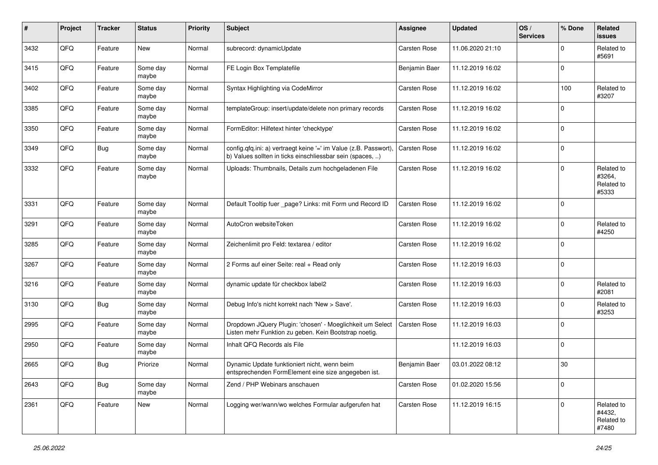| #    | Project | <b>Tracker</b> | <b>Status</b>     | <b>Priority</b> | <b>Subject</b>                                                                                                                | <b>Assignee</b>     | Updated          | OS/<br><b>Services</b> | % Done      | Related<br><b>issues</b>                    |
|------|---------|----------------|-------------------|-----------------|-------------------------------------------------------------------------------------------------------------------------------|---------------------|------------------|------------------------|-------------|---------------------------------------------|
| 3432 | QFQ     | Feature        | <b>New</b>        | Normal          | subrecord: dynamicUpdate                                                                                                      | Carsten Rose        | 11.06.2020 21:10 |                        | $\Omega$    | Related to<br>#5691                         |
| 3415 | QFQ     | Feature        | Some day<br>maybe | Normal          | FE Login Box Templatefile                                                                                                     | Benjamin Baer       | 11.12.2019 16:02 |                        | $\mathbf 0$ |                                             |
| 3402 | QFQ     | Feature        | Some day<br>maybe | Normal          | Syntax Highlighting via CodeMirror                                                                                            | Carsten Rose        | 11.12.2019 16:02 |                        | 100         | Related to<br>#3207                         |
| 3385 | QFQ     | Feature        | Some day<br>maybe | Normal          | templateGroup: insert/update/delete non primary records                                                                       | Carsten Rose        | 11.12.2019 16:02 |                        | $\mathbf 0$ |                                             |
| 3350 | QFQ     | Feature        | Some day<br>maybe | Normal          | FormEditor: Hilfetext hinter 'checktype'                                                                                      | Carsten Rose        | 11.12.2019 16:02 |                        | $\mathbf 0$ |                                             |
| 3349 | QFQ     | <b>Bug</b>     | Some day<br>maybe | Normal          | config.qfq.ini: a) vertraegt keine '=' im Value (z.B. Passwort).<br>b) Values sollten in ticks einschliessbar sein (spaces, ) | Carsten Rose        | 11.12.2019 16:02 |                        | $\mathbf 0$ |                                             |
| 3332 | QFQ     | Feature        | Some day<br>maybe | Normal          | Uploads: Thumbnails, Details zum hochgeladenen File                                                                           | Carsten Rose        | 11.12.2019 16:02 |                        | $\mathbf 0$ | Related to<br>#3264,<br>Related to<br>#5333 |
| 3331 | QFQ     | Feature        | Some day<br>maybe | Normal          | Default Tooltip fuer _page? Links: mit Form und Record ID                                                                     | Carsten Rose        | 11.12.2019 16:02 |                        | $\mathbf 0$ |                                             |
| 3291 | QFQ     | Feature        | Some day<br>maybe | Normal          | AutoCron websiteToken                                                                                                         | <b>Carsten Rose</b> | 11.12.2019 16:02 |                        | $\Omega$    | Related to<br>#4250                         |
| 3285 | QFQ     | Feature        | Some day<br>maybe | Normal          | Zeichenlimit pro Feld: textarea / editor                                                                                      | Carsten Rose        | 11.12.2019 16:02 |                        | $\mathbf 0$ |                                             |
| 3267 | QFQ     | Feature        | Some day<br>maybe | Normal          | 2 Forms auf einer Seite: real + Read only                                                                                     | Carsten Rose        | 11.12.2019 16:03 |                        | 0           |                                             |
| 3216 | QFQ     | Feature        | Some day<br>maybe | Normal          | dynamic update für checkbox label2                                                                                            | Carsten Rose        | 11.12.2019 16:03 |                        | $\mathbf 0$ | Related to<br>#2081                         |
| 3130 | QFQ     | Bug            | Some day<br>maybe | Normal          | Debug Info's nicht korrekt nach 'New > Save'.                                                                                 | Carsten Rose        | 11.12.2019 16:03 |                        | 0           | Related to<br>#3253                         |
| 2995 | QFQ     | Feature        | Some day<br>maybe | Normal          | Dropdown JQuery Plugin: 'chosen' - Moeglichkeit um Select<br>Listen mehr Funktion zu geben. Kein Bootstrap noetig.            | Carsten Rose        | 11.12.2019 16:03 |                        | $\mathbf 0$ |                                             |
| 2950 | QFQ     | Feature        | Some day<br>maybe | Normal          | Inhalt QFQ Records als File                                                                                                   |                     | 11.12.2019 16:03 |                        | $\mathbf 0$ |                                             |
| 2665 | QFQ     | <b>Bug</b>     | Priorize          | Normal          | Dynamic Update funktioniert nicht, wenn beim<br>entsprechenden FormElement eine size angegeben ist.                           | Benjamin Baer       | 03.01.2022 08:12 |                        | 30          |                                             |
| 2643 | QFQ     | <b>Bug</b>     | Some day<br>maybe | Normal          | Zend / PHP Webinars anschauen                                                                                                 | Carsten Rose        | 01.02.2020 15:56 |                        | 0           |                                             |
| 2361 | QFQ     | Feature        | New               | Normal          | Logging wer/wann/wo welches Formular aufgerufen hat                                                                           | Carsten Rose        | 11.12.2019 16:15 |                        | $\mathbf 0$ | Related to<br>#4432,<br>Related to<br>#7480 |